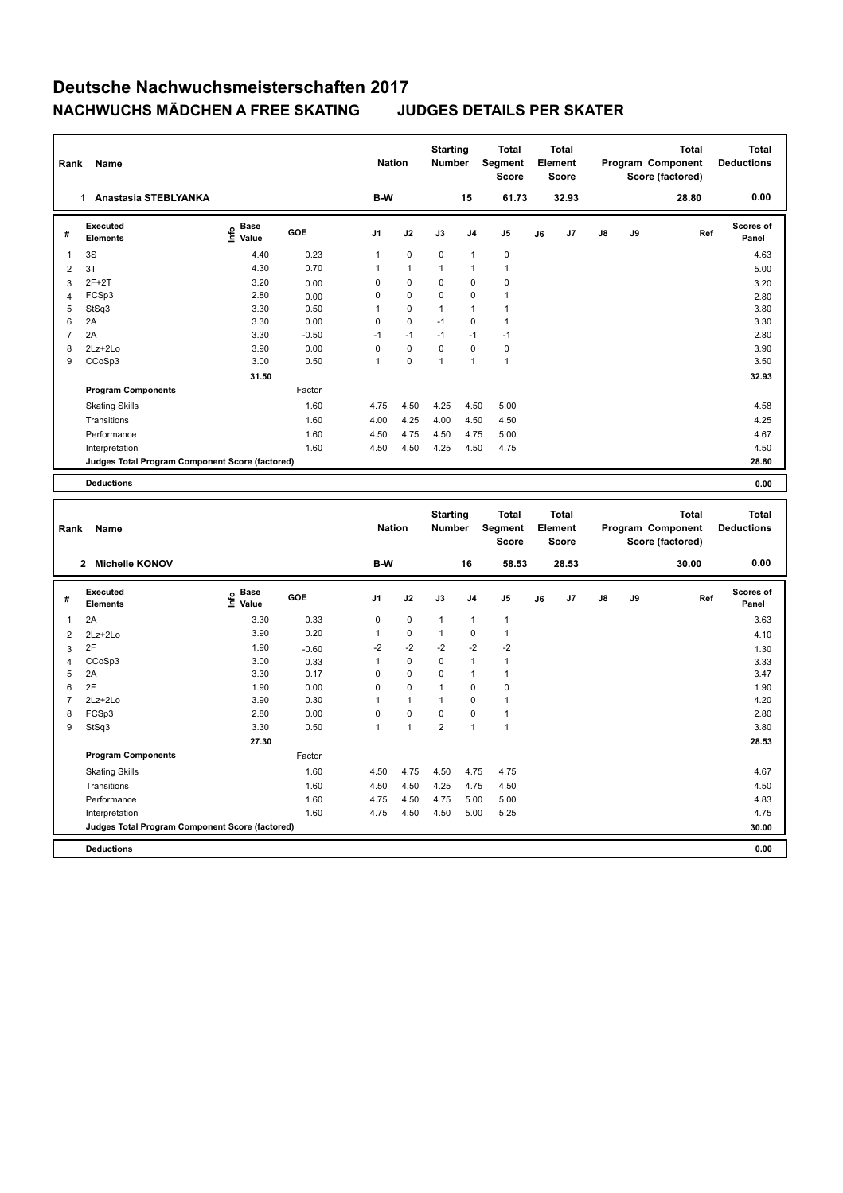| Rank           | Name                                            |                                  |         | <b>Nation</b> |              | <b>Starting</b><br>Number |              | <b>Total</b><br>Segment<br><b>Score</b> |    | <b>Total</b><br>Element<br>Score |    |    | <b>Total</b><br>Program Component<br>Score (factored) | <b>Total</b><br><b>Deductions</b> |
|----------------|-------------------------------------------------|----------------------------------|---------|---------------|--------------|---------------------------|--------------|-----------------------------------------|----|----------------------------------|----|----|-------------------------------------------------------|-----------------------------------|
|                | 1 Anastasia STEBLYANKA                          |                                  |         | B-W           |              |                           | 15           | 61.73                                   |    | 32.93                            |    |    | 28.80                                                 | 0.00                              |
| #              | Executed<br><b>Elements</b>                     | <b>Base</b><br>e Base<br>⊆ Value | GOE     | J1            | J2           | J3                        | J4           | J5                                      | J6 | J7                               | J8 | J9 | Ref                                                   | Scores of<br>Panel                |
| $\mathbf{1}$   | 3S                                              | 4.40                             | 0.23    | $\mathbf{1}$  | 0            | $\mathbf 0$               | $\mathbf{1}$ | 0                                       |    |                                  |    |    |                                                       | 4.63                              |
| $\overline{2}$ | 3T                                              | 4.30                             | 0.70    | $\mathbf{1}$  | $\mathbf{1}$ | $\mathbf{1}$              | $\mathbf{1}$ | $\mathbf{1}$                            |    |                                  |    |    |                                                       | 5.00                              |
| 3              | $2F+2T$                                         | 3.20                             | 0.00    | 0             | 0            | 0                         | $\mathbf 0$  | 0                                       |    |                                  |    |    |                                                       | 3.20                              |
| $\overline{4}$ | FCSp3                                           | 2.80                             | 0.00    | $\mathbf 0$   | 0            | $\mathbf 0$               | $\mathbf 0$  | $\mathbf{1}$                            |    |                                  |    |    |                                                       | 2.80                              |
| 5              | StSq3                                           | 3.30                             | 0.50    | $\mathbf{1}$  | 0            | $\mathbf{1}$              | $\mathbf{1}$ | $\mathbf{1}$                            |    |                                  |    |    |                                                       | 3.80                              |
| 6              | 2A                                              | 3.30                             | 0.00    | $\pmb{0}$     | 0            | $-1$                      | $\mathbf 0$  | $\mathbf{1}$                            |    |                                  |    |    |                                                       | 3.30                              |
| $\overline{7}$ | 2A                                              | 3.30                             | $-0.50$ | $-1$          | $-1$         | $-1$                      | $-1$         | $-1$                                    |    |                                  |    |    |                                                       | 2.80                              |
| 8              | 2Lz+2Lo                                         | 3.90                             | 0.00    | $\pmb{0}$     | 0            | $\mathbf 0$               | $\mathbf 0$  | $\pmb{0}$                               |    |                                  |    |    |                                                       | 3.90                              |
| 9              | CCoSp3                                          | 3.00                             | 0.50    | $\mathbf{1}$  | 0            | $\mathbf{1}$              | $\mathbf{1}$ | $\mathbf{1}$                            |    |                                  |    |    |                                                       | 3.50                              |
|                |                                                 | 31.50                            |         |               |              |                           |              |                                         |    |                                  |    |    |                                                       | 32.93                             |
|                | <b>Program Components</b>                       |                                  | Factor  |               |              |                           |              |                                         |    |                                  |    |    |                                                       |                                   |
|                | <b>Skating Skills</b>                           |                                  | 1.60    | 4.75          | 4.50         | 4.25                      | 4.50         | 5.00                                    |    |                                  |    |    |                                                       | 4.58                              |
|                | Transitions                                     |                                  | 1.60    | 4.00          | 4.25         | 4.00                      | 4.50         | 4.50                                    |    |                                  |    |    |                                                       | 4.25                              |
|                | Performance                                     |                                  | 1.60    | 4.50          | 4.75         | 4.50                      | 4.75         | 5.00                                    |    |                                  |    |    |                                                       | 4.67                              |
|                | Interpretation                                  |                                  | 1.60    | 4.50          | 4.50         | 4.25                      | 4.50         | 4.75                                    |    |                                  |    |    |                                                       | 4.50                              |
|                | Judges Total Program Component Score (factored) |                                  |         |               |              |                           |              |                                         |    |                                  |    |    |                                                       | 28.80                             |
|                | <b>Deductions</b>                               |                                  |         |               |              |                           |              |                                         |    |                                  |    |    |                                                       | 0.00                              |
|                |                                                 |                                  |         |               |              |                           |              |                                         |    |                                  |    |    |                                                       |                                   |
|                |                                                 |                                  |         |               |              |                           |              |                                         |    |                                  |    |    |                                                       |                                   |
|                |                                                 |                                  |         |               |              |                           |              |                                         |    |                                  |    |    |                                                       |                                   |
|                |                                                 |                                  |         |               |              | <b>Starting</b>           |              | <b>Total</b>                            |    | <b>Total</b>                     |    |    | <b>Total</b>                                          | Total                             |
| Rank           | <b>Name</b>                                     |                                  |         | <b>Nation</b> |              | Number                    |              | Segment<br>Score                        |    | Element<br><b>Score</b>          |    |    | Program Component<br>Score (factored)                 | <b>Deductions</b>                 |
|                |                                                 |                                  |         |               |              |                           |              |                                         |    |                                  |    |    |                                                       |                                   |
|                | 2 Michelle KONOV                                |                                  |         | B-W           |              |                           | 16           | 58.53                                   |    | 28.53                            |    |    | 30.00                                                 | 0.00                              |
|                | Executed                                        | <b>Base</b>                      | GOE     |               |              |                           |              |                                         |    |                                  |    |    |                                                       | Scores of                         |
| #              | <b>Elements</b>                                 | e Base<br>⊆ Value                |         | J1            | J2           | J3                        | J4           | J5                                      | J6 | J7                               | J8 | J9 | Ref                                                   | Panel                             |
| $\mathbf{1}$   | 2A                                              | 3.30                             | 0.33    | 0             | 0            | $\mathbf{1}$              | 1            | $\mathbf{1}$                            |    |                                  |    |    |                                                       | 3.63                              |
| $\overline{2}$ | $2Lz + 2Lo$                                     | 3.90                             | 0.20    | $\mathbf{1}$  | 0            | $\mathbf{1}$              | $\mathbf 0$  | $\mathbf{1}$                            |    |                                  |    |    |                                                       | 4.10                              |
| 3              | 2F                                              | 1.90                             | $-0.60$ | $-2$          | $-2$         | $-2$                      | $-2$         | $-2$                                    |    |                                  |    |    |                                                       | 1.30                              |
| 4              | CCoSp3                                          | 3.00                             | 0.33    | $\mathbf{1}$  | 0            | $\mathbf 0$               | $\mathbf{1}$ | $\mathbf{1}$                            |    |                                  |    |    |                                                       | 3.33                              |
| 5              | 2A                                              | 3.30                             | 0.17    | $\mathbf 0$   | 0            | $\mathbf 0$               | $\mathbf{1}$ | $\mathbf{1}$                            |    |                                  |    |    |                                                       | 3.47                              |
| 6              | 2F                                              | 1.90                             | 0.00    | $\pmb{0}$     | 0            | $\mathbf{1}$              | $\mathbf 0$  | 0                                       |    |                                  |    |    |                                                       | 1.90                              |
| $\overline{7}$ | 2Lz+2Lo                                         | 3.90                             | 0.30    | $\mathbf{1}$  | $\mathbf{1}$ | $\mathbf{1}$              | $\mathbf 0$  | $\mathbf{1}$                            |    |                                  |    |    |                                                       | 4.20                              |
| 8              | FCSp3                                           | 2.80                             | 0.00    | $\mathbf 0$   | 0            | $\mathbf 0$               | 0            | 1                                       |    |                                  |    |    |                                                       | 2.80                              |
| 9              | StSq3                                           | 3.30                             | 0.50    | $\mathbf{1}$  | $\mathbf{1}$ | $\overline{2}$            | $\mathbf{1}$ | $\mathbf{1}$                            |    |                                  |    |    |                                                       | 3.80                              |
|                |                                                 | 27.30                            |         |               |              |                           |              |                                         |    |                                  |    |    |                                                       | 28.53                             |
|                | <b>Program Components</b>                       |                                  | Factor  |               |              |                           |              |                                         |    |                                  |    |    |                                                       |                                   |
|                | <b>Skating Skills</b>                           |                                  | 1.60    | 4.50          | 4.75         | 4.50                      | 4.75         | 4.75                                    |    |                                  |    |    |                                                       | 4.67                              |
|                | Transitions                                     |                                  | 1.60    | 4.50          | 4.50         | 4.25                      | 4.75         | 4.50                                    |    |                                  |    |    |                                                       | 4.50                              |
|                | Performance                                     |                                  | 1.60    | 4.75          | 4.50         | 4.75                      | 5.00         | 5.00                                    |    |                                  |    |    |                                                       | 4.83                              |
|                | Interpretation                                  |                                  | 1.60    | 4.75          | 4.50         | 4.50                      | 5.00         | 5.25                                    |    |                                  |    |    |                                                       | 4.75                              |

**Deductions 0.00**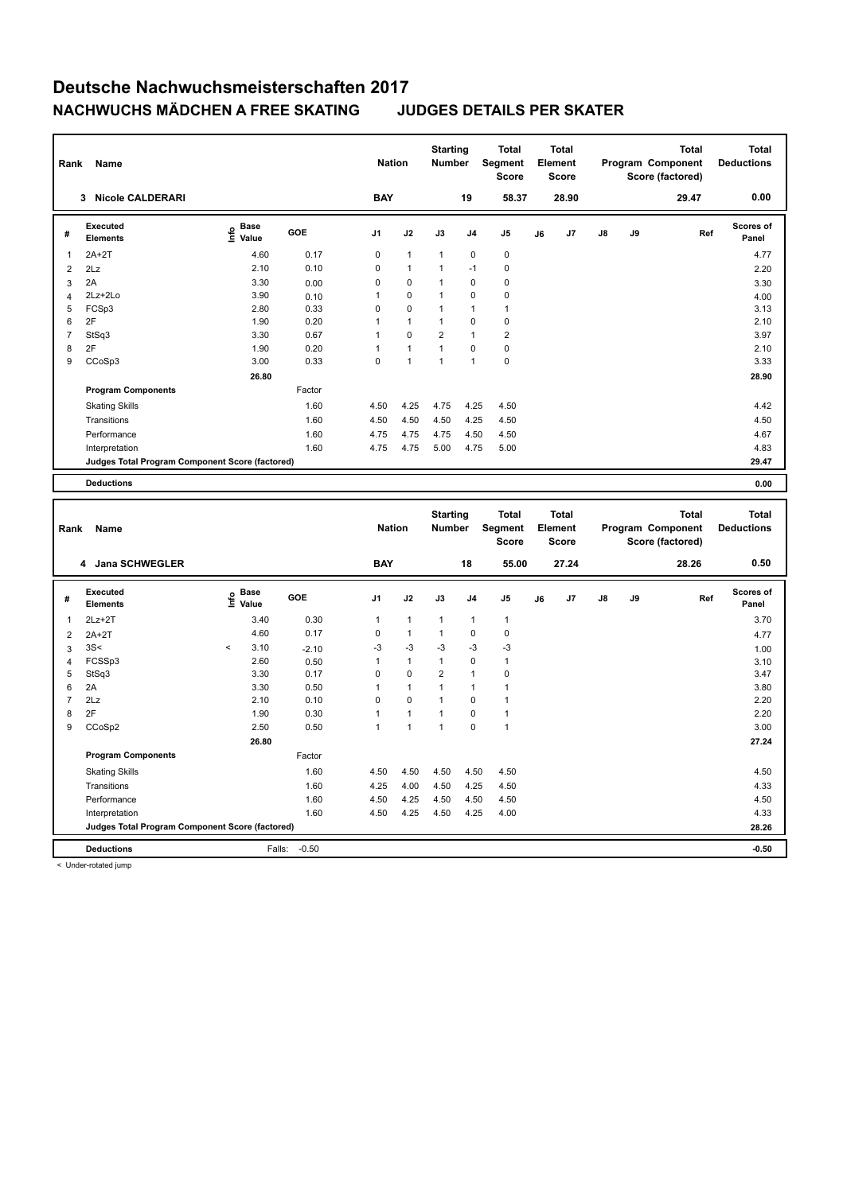| Rank             | Name                                            |                                  |              | <b>Nation</b>             |                           | <b>Starting</b><br><b>Number</b> |                                  | <b>Total</b><br>Segment<br><b>Score</b> |    | <b>Total</b><br>Element<br>Score        |    |    | Total<br>Program Component<br>Score (factored)        | <b>Total</b><br><b>Deductions</b> |
|------------------|-------------------------------------------------|----------------------------------|--------------|---------------------------|---------------------------|----------------------------------|----------------------------------|-----------------------------------------|----|-----------------------------------------|----|----|-------------------------------------------------------|-----------------------------------|
|                  | 3 Nicole CALDERARI                              |                                  |              | <b>BAY</b>                |                           |                                  | 19                               | 58.37                                   |    | 28.90                                   |    |    | 29.47                                                 | 0.00                              |
| #                | Executed<br><b>Elements</b>                     | <b>Base</b><br>e Base<br>⊆ Value | GOE          | J1                        | J2                        | J3                               | J <sub>4</sub>                   | J5                                      | J6 | J7                                      | J8 | J9 | Ref                                                   | Scores of<br>Panel                |
| $\mathbf{1}$     | $2A+2T$                                         | 4.60                             | 0.17         | 0                         | $\overline{1}$            | $\mathbf{1}$                     | $\pmb{0}$                        | 0                                       |    |                                         |    |    |                                                       | 4.77                              |
| $\overline{2}$   | 2Lz                                             | 2.10                             | 0.10         | 0                         | $\mathbf{1}$              | $\overline{1}$                   | $-1$                             | $\mathbf 0$                             |    |                                         |    |    |                                                       | 2.20                              |
| 3                | 2A                                              | 3.30                             | 0.00         | 0                         | $\mathbf 0$               | $\mathbf{1}$                     | $\mathbf 0$                      | $\mathbf 0$                             |    |                                         |    |    |                                                       | 3.30                              |
| $\overline{4}$   | 2Lz+2Lo                                         | 3.90                             | 0.10         | $\mathbf{1}$              | $\mathbf 0$               | $\mathbf{1}$                     | $\mathbf 0$                      | $\mathbf 0$                             |    |                                         |    |    |                                                       | 4.00                              |
| 5                | FCSp3                                           | 2.80                             | 0.33         | 0                         | $\mathbf 0$               | $\mathbf{1}$                     | $\overline{1}$                   | $\mathbf{1}$                            |    |                                         |    |    |                                                       | 3.13                              |
| 6                | 2F                                              | 1.90                             | 0.20         | $\overline{1}$            | $\overline{1}$            | $\mathbf{1}$                     | $\mathbf 0$                      | $\mathbf 0$                             |    |                                         |    |    |                                                       | 2.10                              |
| $\overline{7}$   | StSq3                                           | 3.30                             | 0.67         | $\overline{1}$            | $\mathbf 0$               | $\overline{2}$                   | $\mathbf{1}$                     | $\overline{2}$                          |    |                                         |    |    |                                                       | 3.97                              |
| 8                | 2F                                              | 1.90                             | 0.20         | $\overline{1}$            | $\mathbf{1}$              | $\overline{1}$                   | $\pmb{0}$                        | $\pmb{0}$                               |    |                                         |    |    |                                                       | 2.10                              |
| $\boldsymbol{9}$ | CCoSp3                                          | 3.00                             | 0.33         | $\pmb{0}$                 | $\mathbf{1}$              | $\mathbf{1}$                     | $\mathbf{1}$                     | $\pmb{0}$                               |    |                                         |    |    |                                                       | 3.33                              |
|                  |                                                 | 26.80                            |              |                           |                           |                                  |                                  |                                         |    |                                         |    |    |                                                       | 28.90                             |
|                  | <b>Program Components</b>                       |                                  | Factor       |                           |                           |                                  |                                  |                                         |    |                                         |    |    |                                                       |                                   |
|                  | <b>Skating Skills</b>                           |                                  | 1.60         | 4.50                      | 4.25                      | 4.75                             | 4.25                             | 4.50                                    |    |                                         |    |    |                                                       | 4.42                              |
|                  | Transitions                                     |                                  | 1.60         | 4.50                      | 4.50                      | 4.50                             | 4.25                             | 4.50                                    |    |                                         |    |    |                                                       | 4.50                              |
|                  | Performance                                     |                                  | 1.60         | 4.75                      | 4.75                      | 4.75                             | 4.50                             | 4.50                                    |    |                                         |    |    |                                                       | 4.67                              |
|                  | Interpretation                                  |                                  | 1.60         | 4.75                      | 4.75                      | 5.00                             | 4.75                             | 5.00                                    |    |                                         |    |    |                                                       | 4.83                              |
|                  | Judges Total Program Component Score (factored) |                                  |              |                           |                           |                                  |                                  |                                         |    |                                         |    |    |                                                       | 29.47                             |
|                  | <b>Deductions</b>                               |                                  |              |                           |                           |                                  |                                  |                                         |    |                                         |    |    |                                                       | 0.00                              |
|                  |                                                 |                                  |              |                           |                           |                                  |                                  |                                         |    |                                         |    |    |                                                       |                                   |
| Rank             | Name                                            |                                  |              |                           |                           |                                  |                                  |                                         |    |                                         |    |    |                                                       |                                   |
|                  |                                                 |                                  |              | <b>Nation</b>             |                           | <b>Starting</b><br><b>Number</b> |                                  | Total<br>Segment<br><b>Score</b>        |    | <b>Total</b><br>Element<br><b>Score</b> |    |    | <b>Total</b><br>Program Component<br>Score (factored) | <b>Total</b><br><b>Deductions</b> |
|                  | 4 Jana SCHWEGLER                                |                                  |              | <b>BAY</b>                |                           |                                  | 18                               | 55.00                                   |    | 27.24                                   |    |    | 28.26                                                 | 0.50                              |
| #                | <b>Executed</b><br><b>Elements</b>              | <b>Base</b><br>e Base<br>⊆ Value | GOE          | J1                        | J2                        | J3                               | J <sub>4</sub>                   | J5                                      | J6 | J7                                      | J8 | J9 | Ref                                                   | <b>Scores of</b><br>Panel         |
| $\mathbf{1}$     | $2Lz+2T$                                        | 3.40                             | 0.30         | $\mathbf{1}$              | $\mathbf{1}$              | $\mathbf{1}$                     | $\overline{1}$                   | $\mathbf{1}$                            |    |                                         |    |    |                                                       | 3.70                              |
|                  |                                                 | 4.60                             | 0.17         | 0                         | $\mathbf{1}$              | $\overline{1}$                   | $\pmb{0}$                        | $\mathbf 0$                             |    |                                         |    |    |                                                       |                                   |
| $\overline{2}$   | $2A+2T$                                         | $\,<$                            |              |                           |                           |                                  |                                  |                                         |    |                                         |    |    |                                                       | 4.77                              |
| 3                | 3S<                                             | 3.10                             | $-2.10$      | -3<br>$\mathbf{1}$        | $-3$<br>$\mathbf{1}$      | $-3$<br>$\mathbf{1}$             | -3<br>$\pmb{0}$                  | $-3$<br>$\mathbf{1}$                    |    |                                         |    |    |                                                       | 1.00                              |
| $\overline{4}$   | FCSSp3                                          | 2.60                             | 0.50         |                           |                           |                                  |                                  |                                         |    |                                         |    |    |                                                       | 3.10                              |
| 5<br>6           | StSq3<br>2A                                     | 3.30<br>3.30                     | 0.17<br>0.50 | $\pmb{0}$<br>$\mathbf{1}$ | $\pmb{0}$<br>$\mathbf{1}$ | $\overline{2}$<br>$\mathbf{1}$   | $\overline{1}$<br>$\overline{1}$ | $\mathbf 0$<br>$\mathbf{1}$             |    |                                         |    |    |                                                       | 3.47<br>3.80                      |
| 7                | 2Lz                                             | 2.10                             | 0.10         | $\Omega$                  | $\Omega$                  | $\mathbf{1}$                     | $\mathbf 0$                      | $\mathbf{1}$                            |    |                                         |    |    |                                                       | 2.20                              |
| 8                | 2F                                              | 1.90                             | 0.30         | 1                         | $\overline{1}$            | $\mathbf{1}$                     | $\mathbf 0$                      | $\mathbf{1}$                            |    |                                         |    |    |                                                       | 2.20                              |
| 9                | CCoSp2                                          | 2.50                             | 0.50         | $\mathbf{1}$              | $\mathbf{1}$              | $\mathbf{1}$                     | $\mathbf 0$                      | $\mathbf{1}$                            |    |                                         |    |    |                                                       | 3.00                              |
|                  |                                                 | 26.80                            |              |                           |                           |                                  |                                  |                                         |    |                                         |    |    |                                                       | 27.24                             |
|                  |                                                 |                                  | Factor       |                           |                           |                                  |                                  |                                         |    |                                         |    |    |                                                       |                                   |
|                  | <b>Program Components</b>                       |                                  |              |                           |                           |                                  |                                  |                                         |    |                                         |    |    |                                                       |                                   |
|                  | <b>Skating Skills</b><br>Transitions            |                                  | 1.60<br>1.60 | 4.50<br>4.25              | 4.50<br>4.00              | 4.50<br>4.50                     | 4.50<br>4.25                     | 4.50<br>4.50                            |    |                                         |    |    |                                                       | 4.50<br>4.33                      |

Performance 1.60 4.50 4.25 4.50 4.50 4.50 4.50 Interpretation 1.60 4.50 4.25 4.50 4.25 4.00 4.33

**Deductions** Falls: -0.50 **-0.50**

**Judges Total Program Component Score (factored) 28.26**

< Under-rotated jump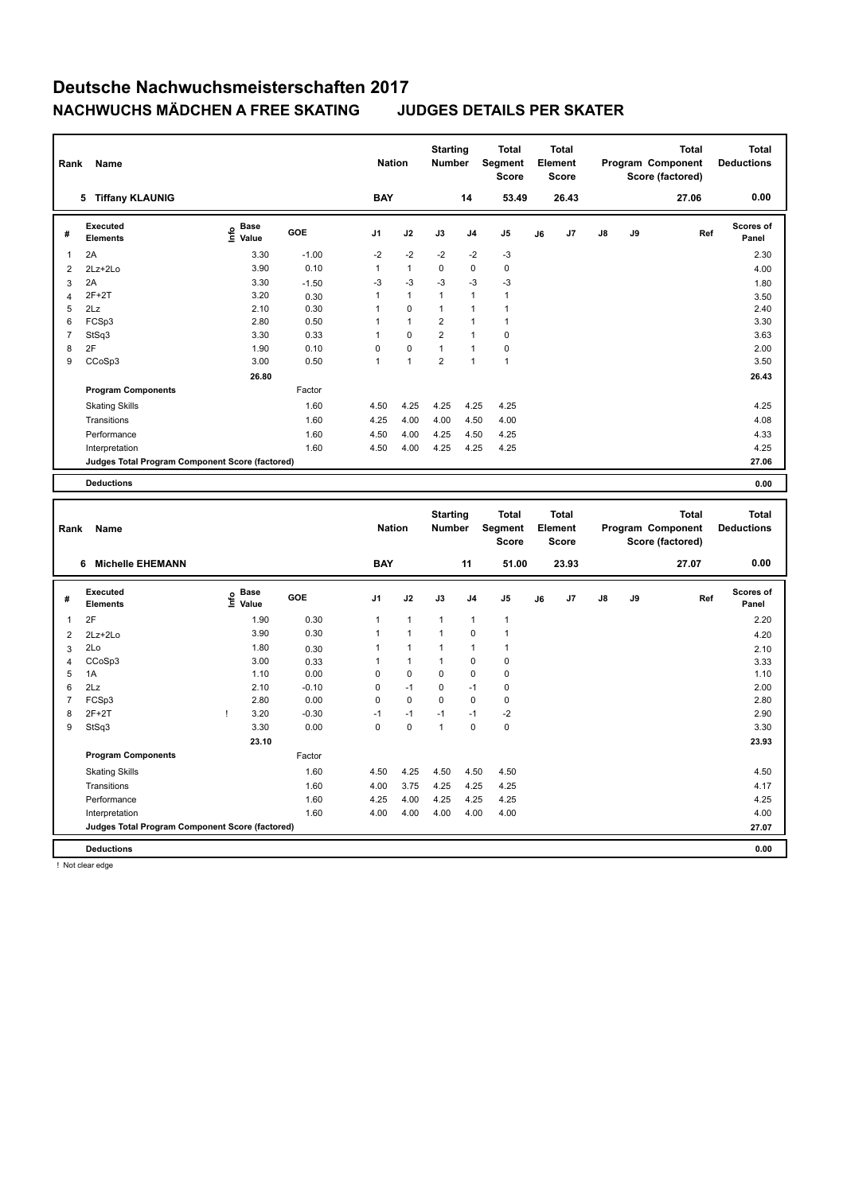| Rank           | Name                                            |                                             |              | <b>Nation</b>                |                              | <b>Starting</b><br>Number    |                             | <b>Total</b><br>Segment<br>Score |    | <b>Total</b><br>Element<br>Score        |    |    | Total<br>Program Component<br>Score (factored)        | Total<br><b>Deductions</b>        |  |
|----------------|-------------------------------------------------|---------------------------------------------|--------------|------------------------------|------------------------------|------------------------------|-----------------------------|----------------------------------|----|-----------------------------------------|----|----|-------------------------------------------------------|-----------------------------------|--|
|                | 5 Tiffany KLAUNIG                               |                                             |              | <b>BAY</b>                   |                              |                              | 14                          | 53.49                            |    | 26.43                                   |    |    | 27.06                                                 | 0.00                              |  |
| #              | Executed<br><b>Elements</b>                     | <b>Base</b><br>۴ů<br>Value                  | GOE          | J <sub>1</sub>               | J2                           | J3                           | J4                          | J5                               | J6 | J <sub>7</sub>                          | J8 | J9 | Ref                                                   | Scores of<br>Panel                |  |
| $\mathbf{1}$   | 2A                                              | 3.30                                        | $-1.00$      | $-2$                         | $-2$                         | $-2$                         | $-2$                        | $-3$                             |    |                                         |    |    |                                                       | 2.30                              |  |
| $\overline{2}$ | 2Lz+2Lo                                         | 3.90                                        | 0.10         | $\mathbf{1}$                 | $\mathbf{1}$                 | $\mathbf 0$                  | $\mathbf 0$                 | $\mathbf 0$                      |    |                                         |    |    |                                                       | 4.00                              |  |
| 3              | 2A                                              | 3.30                                        | $-1.50$      | $-3$                         | $-3$                         | -3                           | $-3$                        | $-3$                             |    |                                         |    |    |                                                       | 1.80                              |  |
| $\overline{4}$ | $2F+2T$                                         | 3.20                                        | 0.30         | $\mathbf{1}$                 | $\mathbf{1}$                 | $\mathbf{1}$                 | $\mathbf{1}$                | $\mathbf{1}$                     |    |                                         |    |    |                                                       | 3.50                              |  |
| 5              | 2Lz                                             | 2.10                                        | 0.30         | $\mathbf{1}$                 | 0                            | $\mathbf{1}$                 | $\mathbf{1}$                | $\mathbf{1}$                     |    |                                         |    |    |                                                       | 2.40                              |  |
| 6              | FCSp3                                           | 2.80                                        | 0.50         | $\mathbf{1}$                 | $\mathbf{1}$                 | $\overline{2}$               | 1                           | $\mathbf{1}$                     |    |                                         |    |    |                                                       | 3.30                              |  |
| $\overline{7}$ | StSq3                                           | 3.30                                        | 0.33         | $\mathbf{1}$                 | 0                            | $\overline{2}$               | $\mathbf{1}$                | 0                                |    |                                         |    |    |                                                       | 3.63                              |  |
| 8              | 2F                                              | 1.90                                        | 0.10         | $\mathbf 0$                  | 0                            | $\mathbf{1}$                 | $\mathbf{1}$                | 0                                |    |                                         |    |    |                                                       | 2.00                              |  |
| 9              | CCoSp3                                          | 3.00                                        | 0.50         | $\mathbf{1}$                 | $\mathbf{1}$                 | $\overline{2}$               | $\mathbf{1}$                | $\mathbf{1}$                     |    |                                         |    |    |                                                       | 3.50                              |  |
|                |                                                 | 26.80                                       |              |                              |                              |                              |                             |                                  |    |                                         |    |    |                                                       | 26.43                             |  |
|                | <b>Program Components</b>                       |                                             | Factor       |                              |                              |                              |                             |                                  |    |                                         |    |    |                                                       |                                   |  |
|                | <b>Skating Skills</b>                           |                                             | 1.60         | 4.50                         | 4.25                         | 4.25                         | 4.25                        | 4.25                             |    |                                         |    |    |                                                       | 4.25                              |  |
|                | Transitions                                     |                                             | 1.60         | 4.25                         | 4.00                         | 4.00                         | 4.50                        | 4.00                             |    |                                         |    |    |                                                       | 4.08                              |  |
|                | Performance                                     |                                             | 1.60         | 4.50                         | 4.00                         | 4.25                         | 4.50                        | 4.25                             |    |                                         |    |    |                                                       | 4.33                              |  |
|                | Interpretation                                  |                                             | 1.60         | 4.50                         | 4.00                         | 4.25                         | 4.25                        | 4.25                             |    |                                         |    |    |                                                       | 4.25                              |  |
|                | Judges Total Program Component Score (factored) |                                             |              |                              |                              |                              |                             |                                  |    |                                         |    |    |                                                       | 27.06                             |  |
|                |                                                 |                                             |              |                              |                              |                              |                             |                                  |    |                                         |    |    |                                                       |                                   |  |
|                |                                                 |                                             |              |                              |                              |                              |                             |                                  |    |                                         |    |    |                                                       |                                   |  |
|                | <b>Deductions</b>                               |                                             |              |                              |                              |                              |                             |                                  |    |                                         |    |    |                                                       | 0.00                              |  |
| Rank           | Name                                            |                                             |              | <b>Nation</b>                |                              | <b>Starting</b><br>Number    |                             | <b>Total</b><br>Segment<br>Score |    | <b>Total</b><br>Element<br><b>Score</b> |    |    | <b>Total</b><br>Program Component<br>Score (factored) | <b>Total</b><br><b>Deductions</b> |  |
|                | 6 Michelle EHEMANN                              |                                             |              | <b>BAY</b>                   |                              |                              | 11                          | 51.00                            |    | 23.93                                   |    |    | 27.07                                                 | 0.00                              |  |
| #              | Executed<br><b>Elements</b>                     | <b>Base</b><br>e <sup>Base</sup><br>⊆ Value | GOE          | J1                           | J2                           | J3                           | J4                          | J5                               | J6 | J7                                      | J8 | J9 | Ref                                                   | Scores of<br>Panel                |  |
|                |                                                 |                                             |              |                              |                              |                              |                             |                                  |    |                                         |    |    |                                                       |                                   |  |
| $\mathbf{1}$   | 2F                                              | 1.90                                        | 0.30         | $\mathbf{1}$<br>$\mathbf{1}$ | $\mathbf{1}$<br>$\mathbf{1}$ | $\mathbf{1}$<br>$\mathbf{1}$ | $\mathbf{1}$<br>$\mathbf 0$ | 1<br>$\mathbf{1}$                |    |                                         |    |    |                                                       | 2.20                              |  |
| $\overline{2}$ | 2Lz+2Lo                                         | 3.90                                        | 0.30         |                              |                              |                              |                             |                                  |    |                                         |    |    |                                                       | 4.20                              |  |
| 3              | 2Lo                                             | 1.80                                        | 0.30         | $\mathbf{1}$                 | $\mathbf{1}$                 | $\mathbf{1}$                 | $\mathbf{1}$                | $\mathbf{1}$                     |    |                                         |    |    |                                                       | 2.10                              |  |
| $\overline{4}$ | CCoSp3                                          | 3.00                                        | 0.33         | $\mathbf{1}$                 | $\mathbf{1}$                 | $\mathbf{1}$                 | $\mathbf 0$                 | 0                                |    |                                         |    |    |                                                       | 3.33                              |  |
| 5              | 1A                                              | 1.10                                        | 0.00         | $\pmb{0}$                    | 0                            | $\mathbf 0$                  | $\mathbf 0$                 | 0                                |    |                                         |    |    |                                                       | 1.10                              |  |
| 6              | 2Lz                                             | 2.10                                        | $-0.10$      | 0                            | $-1$                         | $\mathbf 0$                  | $-1$                        | 0                                |    |                                         |    |    |                                                       | 2.00                              |  |
| 7              | FCSp3                                           | 2.80                                        | 0.00         | $\mathbf 0$                  | 0                            | $\mathbf 0$                  | $\mathbf 0$                 | 0                                |    |                                         |    |    |                                                       | 2.80                              |  |
| 8              | $2F+2T$                                         | 3.20<br>Ţ                                   | $-0.30$      | $-1$                         | $-1$                         | $-1$                         | $-1$                        | $-2$                             |    |                                         |    |    |                                                       | 2.90                              |  |
| 9              | StSq3                                           | 3.30                                        | 0.00         | $\mathbf 0$                  | 0                            | $\mathbf{1}$                 | $\mathbf 0$                 | 0                                |    |                                         |    |    |                                                       | 3.30                              |  |
|                |                                                 | 23.10                                       |              |                              |                              |                              |                             |                                  |    |                                         |    |    |                                                       | 23.93                             |  |
|                | <b>Program Components</b>                       |                                             | Factor       |                              |                              |                              |                             |                                  |    |                                         |    |    |                                                       |                                   |  |
|                | <b>Skating Skills</b>                           |                                             | 1.60         | 4.50                         | 4.25                         | 4.50                         | 4.50                        | 4.50                             |    |                                         |    |    |                                                       | 4.50                              |  |
|                | Transitions                                     |                                             | 1.60         | 4.00                         | 3.75                         | 4.25                         | 4.25                        | 4.25                             |    |                                         |    |    |                                                       | 4.17                              |  |
|                | Performance<br>Interpretation                   |                                             | 1.60<br>1.60 | 4.25<br>4.00                 | 4.00<br>4.00                 | 4.25<br>4.00                 | 4.25<br>4.00                | 4.25<br>4.00                     |    |                                         |    |    |                                                       | 4.25<br>4.00                      |  |

**Judges Total Program Component Score (factored) 27.07**

**Deductions 0.00**

! Not clear edge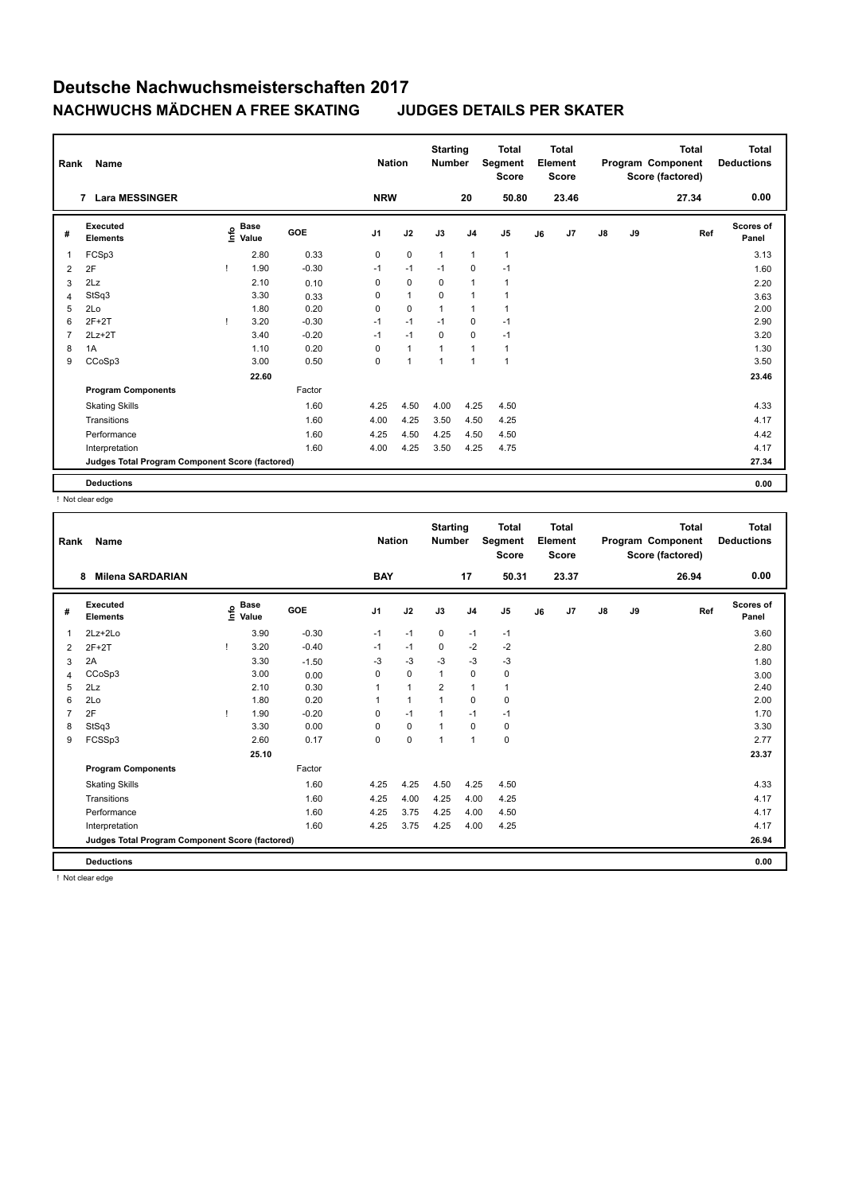| Rank           | Name                                            |      |                      |         | <b>Nation</b>  |                | <b>Starting</b><br><b>Number</b> |                | <b>Total</b><br>Segment<br><b>Score</b> |    | <b>Total</b><br>Element<br><b>Score</b> |               |    | <b>Total</b><br>Program Component<br>Score (factored) | <b>Total</b><br><b>Deductions</b> |
|----------------|-------------------------------------------------|------|----------------------|---------|----------------|----------------|----------------------------------|----------------|-----------------------------------------|----|-----------------------------------------|---------------|----|-------------------------------------------------------|-----------------------------------|
|                | <b>Lara MESSINGER</b><br>$\overline{7}$         |      |                      |         | <b>NRW</b>     |                |                                  | 20             | 50.80                                   |    | 23.46                                   |               |    | 27.34                                                 | 0.00                              |
| #              | <b>Executed</b><br><b>Elements</b>              | lnfo | <b>Base</b><br>Value | GOE     | J <sub>1</sub> | J2             | J3                               | J <sub>4</sub> | J <sub>5</sub>                          | J6 | J7                                      | $\mathsf{J}8$ | J9 | Ref                                                   | <b>Scores of</b><br>Panel         |
| $\overline{1}$ | FCSp3                                           |      | 2.80                 | 0.33    | 0              | $\mathbf 0$    | $\mathbf{1}$                     | $\overline{1}$ | $\mathbf{1}$                            |    |                                         |               |    |                                                       | 3.13                              |
| 2              | 2F                                              |      | 1.90                 | $-0.30$ | $-1$           | $-1$           | $-1$                             | $\mathbf 0$    | $-1$                                    |    |                                         |               |    |                                                       | 1.60                              |
| 3              | 2Lz                                             |      | 2.10                 | 0.10    | 0              | $\mathbf 0$    | 0                                | $\overline{1}$ | $\overline{1}$                          |    |                                         |               |    |                                                       | 2.20                              |
| $\overline{4}$ | StSq3                                           |      | 3.30                 | 0.33    | 0              | $\overline{1}$ | $\Omega$                         | $\overline{1}$ | 1                                       |    |                                         |               |    |                                                       | 3.63                              |
| 5              | 2Lo                                             |      | 1.80                 | 0.20    | 0              | $\mathbf 0$    | $\overline{1}$                   | $\overline{1}$ | $\overline{1}$                          |    |                                         |               |    |                                                       | 2.00                              |
| 6              | $2F+2T$                                         |      | 3.20                 | $-0.30$ | $-1$           | $-1$           | $-1$                             | $\mathbf 0$    | $-1$                                    |    |                                         |               |    |                                                       | 2.90                              |
| $\overline{7}$ | $2Lz+2T$                                        |      | 3.40                 | $-0.20$ | $-1$           | $-1$           | $\Omega$                         | $\mathbf 0$    | $-1$                                    |    |                                         |               |    |                                                       | 3.20                              |
| 8              | 1A                                              |      | 1.10                 | 0.20    | $\Omega$       | $\mathbf{1}$   | $\overline{1}$                   | $\overline{1}$ | $\mathbf{1}$                            |    |                                         |               |    |                                                       | 1.30                              |
| 9              | CCoSp3                                          |      | 3.00                 | 0.50    | 0              | 1              | $\overline{1}$                   | $\overline{1}$ | 1                                       |    |                                         |               |    |                                                       | 3.50                              |
|                |                                                 |      | 22.60                |         |                |                |                                  |                |                                         |    |                                         |               |    |                                                       | 23.46                             |
|                | <b>Program Components</b>                       |      |                      | Factor  |                |                |                                  |                |                                         |    |                                         |               |    |                                                       |                                   |
|                | <b>Skating Skills</b>                           |      |                      | 1.60    | 4.25           | 4.50           | 4.00                             | 4.25           | 4.50                                    |    |                                         |               |    |                                                       | 4.33                              |
|                | Transitions                                     |      |                      | 1.60    | 4.00           | 4.25           | 3.50                             | 4.50           | 4.25                                    |    |                                         |               |    |                                                       | 4.17                              |
|                | Performance                                     |      |                      | 1.60    | 4.25           | 4.50           | 4.25                             | 4.50           | 4.50                                    |    |                                         |               |    |                                                       | 4.42                              |
|                | Interpretation                                  |      |                      | 1.60    | 4.00           | 4.25           | 3.50                             | 4.25           | 4.75                                    |    |                                         |               |    |                                                       | 4.17                              |
|                | Judges Total Program Component Score (factored) |      |                      |         |                |                |                                  |                |                                         |    |                                         |               |    |                                                       | 27.34                             |
|                | <b>Deductions</b>                               |      |                      |         |                |                |                                  |                |                                         |    |                                         |               |    |                                                       | 0.00                              |

! Not clear edge

| Rank           | <b>Name</b>                                     |                                  |         | <b>Nation</b> |              | <b>Starting</b><br><b>Number</b> |                | <b>Total</b><br>Segment<br><b>Score</b> |    | <b>Total</b><br>Element<br><b>Score</b> |               |    | <b>Total</b><br>Program Component<br>Score (factored) | Total<br><b>Deductions</b> |
|----------------|-------------------------------------------------|----------------------------------|---------|---------------|--------------|----------------------------------|----------------|-----------------------------------------|----|-----------------------------------------|---------------|----|-------------------------------------------------------|----------------------------|
|                | <b>Milena SARDARIAN</b><br>8                    |                                  |         | <b>BAY</b>    |              |                                  | 17             | 50.31                                   |    | 23.37                                   |               |    | 26.94                                                 | 0.00                       |
| #              | Executed<br><b>Elements</b>                     | <b>Base</b><br>e Base<br>⊆ Value | GOE     | J1            | J2           | J3                               | J <sub>4</sub> | J <sub>5</sub>                          | J6 | J7                                      | $\mathsf{J}8$ | J9 | Ref                                                   | Scores of<br>Panel         |
| 1              | 2Lz+2Lo                                         | 3.90                             | $-0.30$ | $-1$          | $-1$         | 0                                | $-1$           | $-1$                                    |    |                                         |               |    |                                                       | 3.60                       |
| 2              | $2F+2T$                                         | 3.20                             | $-0.40$ | $-1$          | $-1$         | $\Omega$                         | $-2$           | $-2$                                    |    |                                         |               |    |                                                       | 2.80                       |
| 3              | 2A                                              | 3.30                             | $-1.50$ | $-3$          | $-3$         | $-3$                             | $-3$           | -3                                      |    |                                         |               |    |                                                       | 1.80                       |
| 4              | CCoSp3                                          | 3.00                             | 0.00    | 0             | $\mathbf 0$  | 1                                | 0              | 0                                       |    |                                         |               |    |                                                       | 3.00                       |
| 5              | 2Lz                                             | 2.10                             | 0.30    | 1             | $\mathbf{1}$ | $\overline{2}$                   | 1              | $\mathbf{1}$                            |    |                                         |               |    |                                                       | 2.40                       |
| 6              | 2Lo                                             | 1.80                             | 0.20    | 1             | $\mathbf{1}$ | $\mathbf{1}$                     | 0              | $\pmb{0}$                               |    |                                         |               |    |                                                       | 2.00                       |
| $\overline{7}$ | 2F                                              | 1.90                             | $-0.20$ | 0             | $-1$         | 1                                | $-1$           | $-1$                                    |    |                                         |               |    |                                                       | 1.70                       |
| 8              | StSq3                                           | 3.30                             | 0.00    | 0             | $\mathbf 0$  | 1                                | $\Omega$       | 0                                       |    |                                         |               |    |                                                       | 3.30                       |
| 9              | FCSSp3                                          | 2.60                             | 0.17    | 0             | $\mathbf 0$  | 1                                | $\overline{1}$ | $\mathbf 0$                             |    |                                         |               |    |                                                       | 2.77                       |
|                |                                                 | 25.10                            |         |               |              |                                  |                |                                         |    |                                         |               |    |                                                       | 23.37                      |
|                | <b>Program Components</b>                       |                                  | Factor  |               |              |                                  |                |                                         |    |                                         |               |    |                                                       |                            |
|                | <b>Skating Skills</b>                           |                                  | 1.60    | 4.25          | 4.25         | 4.50                             | 4.25           | 4.50                                    |    |                                         |               |    |                                                       | 4.33                       |
|                | Transitions                                     |                                  | 1.60    | 4.25          | 4.00         | 4.25                             | 4.00           | 4.25                                    |    |                                         |               |    |                                                       | 4.17                       |
|                | Performance                                     |                                  | 1.60    | 4.25          | 3.75         | 4.25                             | 4.00           | 4.50                                    |    |                                         |               |    |                                                       | 4.17                       |
|                | Interpretation                                  |                                  | 1.60    | 4.25          | 3.75         | 4.25                             | 4.00           | 4.25                                    |    |                                         |               |    |                                                       | 4.17                       |
|                | Judges Total Program Component Score (factored) |                                  |         |               |              |                                  |                |                                         |    |                                         |               |    |                                                       | 26.94                      |
|                | <b>Deductions</b>                               |                                  |         |               |              |                                  |                |                                         |    |                                         |               |    |                                                       | 0.00                       |

! Not clear edge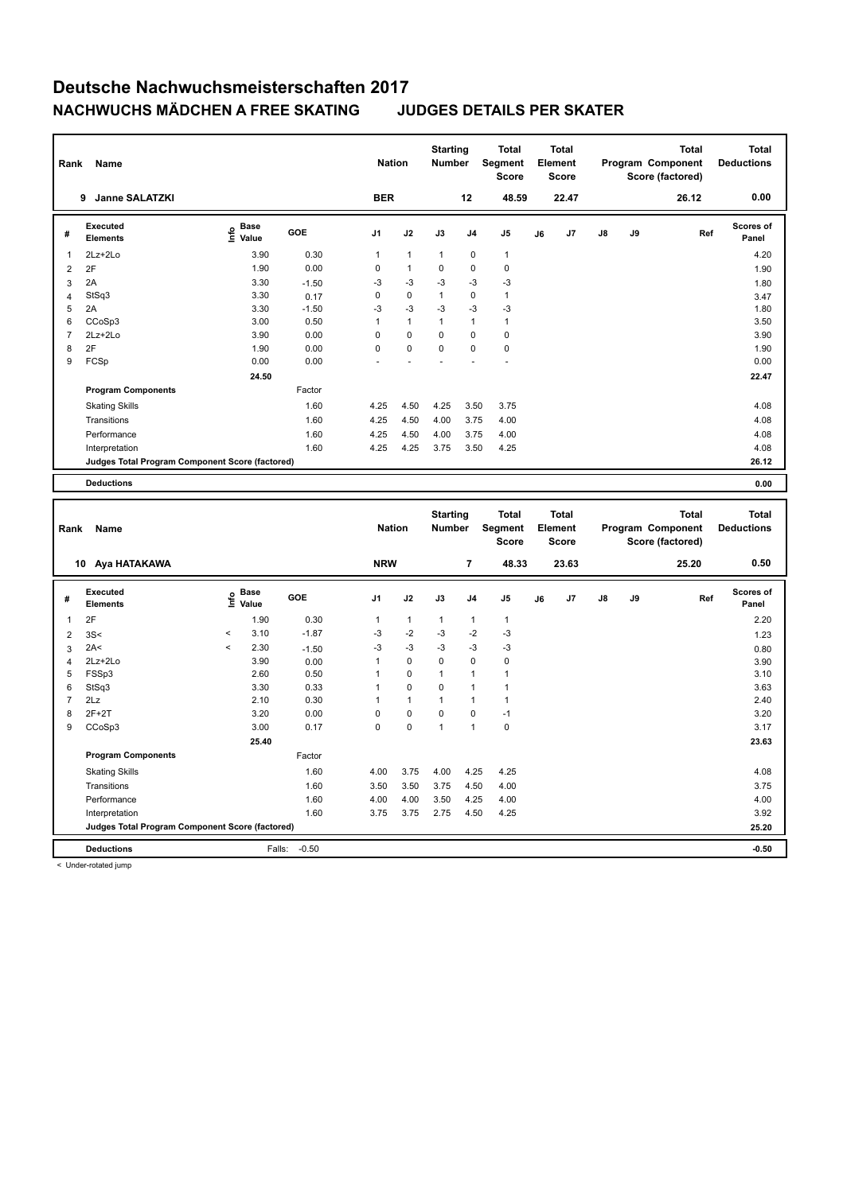| 0.00<br><b>BER</b><br>9 Janne SALATZKI<br>12<br>48.59<br>22.47<br>26.12<br>Executed<br>Scores of<br><b>Base</b><br>e Base<br>⊆ Value<br>GOE<br>J9<br>J1<br>J2<br>J3<br>J <sub>4</sub><br>J <sub>5</sub><br>J6<br>J7<br>J8<br>Ref<br>#<br><b>Elements</b><br>Panel<br>0.30<br>$\mathbf{1}$<br>$\mathbf{1}$<br>$\mathbf{1}$<br>2Lz+2Lo<br>3.90<br>$\mathbf{1}$<br>$\mathbf{1}$<br>$\mathbf 0$<br>4.20<br>1.90<br>0.00<br>0<br>$\mathbf{1}$<br>$\mathbf 0$<br>$\mathbf 0$<br>$\pmb{0}$<br>$\overline{2}$<br>2F<br>1.90<br>3.30<br>$-3$<br>$-3$<br>2A<br>$-3$<br>$-3$<br>$-3$<br>3<br>$-1.50$<br>1.80<br>StSq3<br>3.30<br>0<br>0<br>$\mathbf{1}$<br>$\mathbf 0$<br>$\overline{1}$<br>0.17<br>$\overline{4}$<br>3.47<br>3.30<br>$-3$<br>$-3$<br>$-3$<br>$-3$<br>5<br>2A<br>$-1.50$<br>$-3$<br>1.80<br>6<br>CCoSp3<br>3.00<br>0.50<br>$\mathbf{1}$<br>$\mathbf{1}$<br>$\mathbf{1}$<br>$\mathbf{1}$<br>$\mathbf{1}$<br>3.50<br>$\overline{7}$<br>0<br>$2Lz + 2Lo$<br>3.90<br>$\Omega$<br>$\Omega$<br>$\Omega$<br>$\mathbf 0$<br>0.00<br>3.90<br>2F<br>0<br>0<br>$\mathbf 0$<br>8<br>1.90<br>0.00<br>0<br>$\mathbf 0$<br>1.90<br>9<br>FCSp<br>0.00<br>0.00<br>0.00<br>24.50<br>22.47<br><b>Program Components</b><br>Factor<br>4.25<br>4.50<br>4.25<br><b>Skating Skills</b><br>1.60<br>3.50<br>3.75<br>4.08<br>1.60<br>4.25<br>3.75<br>Transitions<br>4.50<br>4.00<br>4.00<br>4.08<br>Performance<br>1.60<br>4.25<br>4.50<br>4.00<br>3.75<br>4.00<br>4.08<br>Interpretation<br>1.60<br>4.25<br>4.25<br>3.75<br>3.50<br>4.25<br>4.08<br>26.12<br>Judges Total Program Component Score (factored)<br>0.00<br><b>Deductions</b><br><b>Starting</b><br><b>Total</b><br><b>Total</b><br><b>Total</b><br><b>Total</b><br>Segment<br><b>Nation</b><br>Element<br>Program Component<br><b>Deductions</b><br>Number<br>Name<br>Rank<br><b>Score</b><br><b>Score</b><br>Score (factored)<br><b>NRW</b><br>0.50<br>7<br>48.33<br>23.63<br>25.20<br>10 Aya HATAKAWA<br>Executed<br><b>Base</b><br><b>Scores of</b><br>e<br>GOE<br>J <sub>1</sub><br>J2<br>J3<br>J <sub>4</sub><br>J <sub>5</sub><br>J6<br>J7<br>J8<br>J9<br>Ref<br>#<br>Value<br><b>Elements</b><br>Panel<br>2F<br>0.30<br>2.20<br>$\mathbf{1}$<br>1.90<br>$\mathbf{1}$<br>$\mathbf{1}$<br>$\mathbf{1}$<br>$\mathbf{1}$<br>$\mathbf{1}$<br>$-2$<br>-3<br>$-2$<br>3.10<br>$-1.87$<br>-3<br>$-3$<br>$\,<$<br>3S<<br>$\overline{2}$<br>1.23<br>$-3$<br>2.30<br>$-3$<br>$-3$<br>$-3$<br>2A<<br>$\,<$<br>-3<br>3<br>$-1.50$<br>0.80<br>$\mathbf{1}$<br>$\mathbf 0$<br>0<br>3.90<br>0<br>$\mathbf 0$<br>2Lz+2Lo<br>0.00<br>$\overline{4}$<br>3.90<br>FSSp3<br>2.60<br>$\mathbf{1}$<br>$\mathbf 0$<br>$\mathbf{1}$<br>$\overline{1}$<br>$\mathbf{1}$<br>5<br>0.50<br>3.10<br>6<br>StSq3<br>3.30<br>0.33<br>$\mathbf{1}$<br>0<br>0<br>1<br>$\mathbf{1}$<br>3.63<br>$\overline{7}$<br>$\mathbf{1}$<br>2Lz<br>2.10<br>0.30<br>$\mathbf{1}$<br>$\mathbf{1}$<br>$\mathbf{1}$<br>1<br>2.40<br>8<br>$2F+2T$<br>3.20<br>0.00<br>0<br>0<br>0<br>$\mathbf 0$<br>$-1$<br>3.20<br>$\pmb{0}$<br>9<br>CCoSp3<br>3.00<br>0.17<br>0<br>0<br>$\mathbf{1}$<br>$\mathbf{1}$<br>3.17<br>25.40<br>23.63<br><b>Program Components</b><br>Factor<br><b>Skating Skills</b><br>1.60<br>4.00<br>3.75<br>4.00<br>4.25<br>4.25<br>4.08<br>1.60<br>3.50<br>3.50<br>3.75<br>4.50<br>4.00<br>3.75<br>Transitions | Rank | Name |  | <b>Nation</b> | <b>Starting</b><br>Number | <b>Total</b><br><b>Segment</b><br><b>Score</b> | <b>Total</b><br>Element<br><b>Score</b> |  | <b>Total</b><br>Program Component<br>Score (factored) | <b>Total</b><br><b>Deductions</b> |
|-------------------------------------------------------------------------------------------------------------------------------------------------------------------------------------------------------------------------------------------------------------------------------------------------------------------------------------------------------------------------------------------------------------------------------------------------------------------------------------------------------------------------------------------------------------------------------------------------------------------------------------------------------------------------------------------------------------------------------------------------------------------------------------------------------------------------------------------------------------------------------------------------------------------------------------------------------------------------------------------------------------------------------------------------------------------------------------------------------------------------------------------------------------------------------------------------------------------------------------------------------------------------------------------------------------------------------------------------------------------------------------------------------------------------------------------------------------------------------------------------------------------------------------------------------------------------------------------------------------------------------------------------------------------------------------------------------------------------------------------------------------------------------------------------------------------------------------------------------------------------------------------------------------------------------------------------------------------------------------------------------------------------------------------------------------------------------------------------------------------------------------------------------------------------------------------------------------------------------------------------------------------------------------------------------------------------------------------------------------------------------------------------------------------------------------------------------------------------------------------------------------------------------------------------------------------------------------------------------------------------------------------------------------------------------------------------------------------------------------------------------------------------------------------------------------------------------------------------------------------------------------------------------------------------------------------------------------------------------------------------------------------------------------------------------------------------------------------------------------------------------------------------------------------------------------------------------------------------------------------------------------------------------------------------------------------------|------|------|--|---------------|---------------------------|------------------------------------------------|-----------------------------------------|--|-------------------------------------------------------|-----------------------------------|
|                                                                                                                                                                                                                                                                                                                                                                                                                                                                                                                                                                                                                                                                                                                                                                                                                                                                                                                                                                                                                                                                                                                                                                                                                                                                                                                                                                                                                                                                                                                                                                                                                                                                                                                                                                                                                                                                                                                                                                                                                                                                                                                                                                                                                                                                                                                                                                                                                                                                                                                                                                                                                                                                                                                                                                                                                                                                                                                                                                                                                                                                                                                                                                                                                                                                                                                         |      |      |  |               |                           |                                                |                                         |  |                                                       |                                   |
|                                                                                                                                                                                                                                                                                                                                                                                                                                                                                                                                                                                                                                                                                                                                                                                                                                                                                                                                                                                                                                                                                                                                                                                                                                                                                                                                                                                                                                                                                                                                                                                                                                                                                                                                                                                                                                                                                                                                                                                                                                                                                                                                                                                                                                                                                                                                                                                                                                                                                                                                                                                                                                                                                                                                                                                                                                                                                                                                                                                                                                                                                                                                                                                                                                                                                                                         |      |      |  |               |                           |                                                |                                         |  |                                                       |                                   |
|                                                                                                                                                                                                                                                                                                                                                                                                                                                                                                                                                                                                                                                                                                                                                                                                                                                                                                                                                                                                                                                                                                                                                                                                                                                                                                                                                                                                                                                                                                                                                                                                                                                                                                                                                                                                                                                                                                                                                                                                                                                                                                                                                                                                                                                                                                                                                                                                                                                                                                                                                                                                                                                                                                                                                                                                                                                                                                                                                                                                                                                                                                                                                                                                                                                                                                                         |      |      |  |               |                           |                                                |                                         |  |                                                       |                                   |
|                                                                                                                                                                                                                                                                                                                                                                                                                                                                                                                                                                                                                                                                                                                                                                                                                                                                                                                                                                                                                                                                                                                                                                                                                                                                                                                                                                                                                                                                                                                                                                                                                                                                                                                                                                                                                                                                                                                                                                                                                                                                                                                                                                                                                                                                                                                                                                                                                                                                                                                                                                                                                                                                                                                                                                                                                                                                                                                                                                                                                                                                                                                                                                                                                                                                                                                         |      |      |  |               |                           |                                                |                                         |  |                                                       |                                   |
|                                                                                                                                                                                                                                                                                                                                                                                                                                                                                                                                                                                                                                                                                                                                                                                                                                                                                                                                                                                                                                                                                                                                                                                                                                                                                                                                                                                                                                                                                                                                                                                                                                                                                                                                                                                                                                                                                                                                                                                                                                                                                                                                                                                                                                                                                                                                                                                                                                                                                                                                                                                                                                                                                                                                                                                                                                                                                                                                                                                                                                                                                                                                                                                                                                                                                                                         |      |      |  |               |                           |                                                |                                         |  |                                                       |                                   |
|                                                                                                                                                                                                                                                                                                                                                                                                                                                                                                                                                                                                                                                                                                                                                                                                                                                                                                                                                                                                                                                                                                                                                                                                                                                                                                                                                                                                                                                                                                                                                                                                                                                                                                                                                                                                                                                                                                                                                                                                                                                                                                                                                                                                                                                                                                                                                                                                                                                                                                                                                                                                                                                                                                                                                                                                                                                                                                                                                                                                                                                                                                                                                                                                                                                                                                                         |      |      |  |               |                           |                                                |                                         |  |                                                       |                                   |
|                                                                                                                                                                                                                                                                                                                                                                                                                                                                                                                                                                                                                                                                                                                                                                                                                                                                                                                                                                                                                                                                                                                                                                                                                                                                                                                                                                                                                                                                                                                                                                                                                                                                                                                                                                                                                                                                                                                                                                                                                                                                                                                                                                                                                                                                                                                                                                                                                                                                                                                                                                                                                                                                                                                                                                                                                                                                                                                                                                                                                                                                                                                                                                                                                                                                                                                         |      |      |  |               |                           |                                                |                                         |  |                                                       |                                   |
|                                                                                                                                                                                                                                                                                                                                                                                                                                                                                                                                                                                                                                                                                                                                                                                                                                                                                                                                                                                                                                                                                                                                                                                                                                                                                                                                                                                                                                                                                                                                                                                                                                                                                                                                                                                                                                                                                                                                                                                                                                                                                                                                                                                                                                                                                                                                                                                                                                                                                                                                                                                                                                                                                                                                                                                                                                                                                                                                                                                                                                                                                                                                                                                                                                                                                                                         |      |      |  |               |                           |                                                |                                         |  |                                                       |                                   |
|                                                                                                                                                                                                                                                                                                                                                                                                                                                                                                                                                                                                                                                                                                                                                                                                                                                                                                                                                                                                                                                                                                                                                                                                                                                                                                                                                                                                                                                                                                                                                                                                                                                                                                                                                                                                                                                                                                                                                                                                                                                                                                                                                                                                                                                                                                                                                                                                                                                                                                                                                                                                                                                                                                                                                                                                                                                                                                                                                                                                                                                                                                                                                                                                                                                                                                                         |      |      |  |               |                           |                                                |                                         |  |                                                       |                                   |
|                                                                                                                                                                                                                                                                                                                                                                                                                                                                                                                                                                                                                                                                                                                                                                                                                                                                                                                                                                                                                                                                                                                                                                                                                                                                                                                                                                                                                                                                                                                                                                                                                                                                                                                                                                                                                                                                                                                                                                                                                                                                                                                                                                                                                                                                                                                                                                                                                                                                                                                                                                                                                                                                                                                                                                                                                                                                                                                                                                                                                                                                                                                                                                                                                                                                                                                         |      |      |  |               |                           |                                                |                                         |  |                                                       |                                   |
|                                                                                                                                                                                                                                                                                                                                                                                                                                                                                                                                                                                                                                                                                                                                                                                                                                                                                                                                                                                                                                                                                                                                                                                                                                                                                                                                                                                                                                                                                                                                                                                                                                                                                                                                                                                                                                                                                                                                                                                                                                                                                                                                                                                                                                                                                                                                                                                                                                                                                                                                                                                                                                                                                                                                                                                                                                                                                                                                                                                                                                                                                                                                                                                                                                                                                                                         |      |      |  |               |                           |                                                |                                         |  |                                                       |                                   |
|                                                                                                                                                                                                                                                                                                                                                                                                                                                                                                                                                                                                                                                                                                                                                                                                                                                                                                                                                                                                                                                                                                                                                                                                                                                                                                                                                                                                                                                                                                                                                                                                                                                                                                                                                                                                                                                                                                                                                                                                                                                                                                                                                                                                                                                                                                                                                                                                                                                                                                                                                                                                                                                                                                                                                                                                                                                                                                                                                                                                                                                                                                                                                                                                                                                                                                                         |      |      |  |               |                           |                                                |                                         |  |                                                       |                                   |
|                                                                                                                                                                                                                                                                                                                                                                                                                                                                                                                                                                                                                                                                                                                                                                                                                                                                                                                                                                                                                                                                                                                                                                                                                                                                                                                                                                                                                                                                                                                                                                                                                                                                                                                                                                                                                                                                                                                                                                                                                                                                                                                                                                                                                                                                                                                                                                                                                                                                                                                                                                                                                                                                                                                                                                                                                                                                                                                                                                                                                                                                                                                                                                                                                                                                                                                         |      |      |  |               |                           |                                                |                                         |  |                                                       |                                   |
|                                                                                                                                                                                                                                                                                                                                                                                                                                                                                                                                                                                                                                                                                                                                                                                                                                                                                                                                                                                                                                                                                                                                                                                                                                                                                                                                                                                                                                                                                                                                                                                                                                                                                                                                                                                                                                                                                                                                                                                                                                                                                                                                                                                                                                                                                                                                                                                                                                                                                                                                                                                                                                                                                                                                                                                                                                                                                                                                                                                                                                                                                                                                                                                                                                                                                                                         |      |      |  |               |                           |                                                |                                         |  |                                                       |                                   |
|                                                                                                                                                                                                                                                                                                                                                                                                                                                                                                                                                                                                                                                                                                                                                                                                                                                                                                                                                                                                                                                                                                                                                                                                                                                                                                                                                                                                                                                                                                                                                                                                                                                                                                                                                                                                                                                                                                                                                                                                                                                                                                                                                                                                                                                                                                                                                                                                                                                                                                                                                                                                                                                                                                                                                                                                                                                                                                                                                                                                                                                                                                                                                                                                                                                                                                                         |      |      |  |               |                           |                                                |                                         |  |                                                       |                                   |
|                                                                                                                                                                                                                                                                                                                                                                                                                                                                                                                                                                                                                                                                                                                                                                                                                                                                                                                                                                                                                                                                                                                                                                                                                                                                                                                                                                                                                                                                                                                                                                                                                                                                                                                                                                                                                                                                                                                                                                                                                                                                                                                                                                                                                                                                                                                                                                                                                                                                                                                                                                                                                                                                                                                                                                                                                                                                                                                                                                                                                                                                                                                                                                                                                                                                                                                         |      |      |  |               |                           |                                                |                                         |  |                                                       |                                   |
|                                                                                                                                                                                                                                                                                                                                                                                                                                                                                                                                                                                                                                                                                                                                                                                                                                                                                                                                                                                                                                                                                                                                                                                                                                                                                                                                                                                                                                                                                                                                                                                                                                                                                                                                                                                                                                                                                                                                                                                                                                                                                                                                                                                                                                                                                                                                                                                                                                                                                                                                                                                                                                                                                                                                                                                                                                                                                                                                                                                                                                                                                                                                                                                                                                                                                                                         |      |      |  |               |                           |                                                |                                         |  |                                                       |                                   |
|                                                                                                                                                                                                                                                                                                                                                                                                                                                                                                                                                                                                                                                                                                                                                                                                                                                                                                                                                                                                                                                                                                                                                                                                                                                                                                                                                                                                                                                                                                                                                                                                                                                                                                                                                                                                                                                                                                                                                                                                                                                                                                                                                                                                                                                                                                                                                                                                                                                                                                                                                                                                                                                                                                                                                                                                                                                                                                                                                                                                                                                                                                                                                                                                                                                                                                                         |      |      |  |               |                           |                                                |                                         |  |                                                       |                                   |
|                                                                                                                                                                                                                                                                                                                                                                                                                                                                                                                                                                                                                                                                                                                                                                                                                                                                                                                                                                                                                                                                                                                                                                                                                                                                                                                                                                                                                                                                                                                                                                                                                                                                                                                                                                                                                                                                                                                                                                                                                                                                                                                                                                                                                                                                                                                                                                                                                                                                                                                                                                                                                                                                                                                                                                                                                                                                                                                                                                                                                                                                                                                                                                                                                                                                                                                         |      |      |  |               |                           |                                                |                                         |  |                                                       |                                   |
|                                                                                                                                                                                                                                                                                                                                                                                                                                                                                                                                                                                                                                                                                                                                                                                                                                                                                                                                                                                                                                                                                                                                                                                                                                                                                                                                                                                                                                                                                                                                                                                                                                                                                                                                                                                                                                                                                                                                                                                                                                                                                                                                                                                                                                                                                                                                                                                                                                                                                                                                                                                                                                                                                                                                                                                                                                                                                                                                                                                                                                                                                                                                                                                                                                                                                                                         |      |      |  |               |                           |                                                |                                         |  |                                                       |                                   |
|                                                                                                                                                                                                                                                                                                                                                                                                                                                                                                                                                                                                                                                                                                                                                                                                                                                                                                                                                                                                                                                                                                                                                                                                                                                                                                                                                                                                                                                                                                                                                                                                                                                                                                                                                                                                                                                                                                                                                                                                                                                                                                                                                                                                                                                                                                                                                                                                                                                                                                                                                                                                                                                                                                                                                                                                                                                                                                                                                                                                                                                                                                                                                                                                                                                                                                                         |      |      |  |               |                           |                                                |                                         |  |                                                       |                                   |
|                                                                                                                                                                                                                                                                                                                                                                                                                                                                                                                                                                                                                                                                                                                                                                                                                                                                                                                                                                                                                                                                                                                                                                                                                                                                                                                                                                                                                                                                                                                                                                                                                                                                                                                                                                                                                                                                                                                                                                                                                                                                                                                                                                                                                                                                                                                                                                                                                                                                                                                                                                                                                                                                                                                                                                                                                                                                                                                                                                                                                                                                                                                                                                                                                                                                                                                         |      |      |  |               |                           |                                                |                                         |  |                                                       |                                   |
|                                                                                                                                                                                                                                                                                                                                                                                                                                                                                                                                                                                                                                                                                                                                                                                                                                                                                                                                                                                                                                                                                                                                                                                                                                                                                                                                                                                                                                                                                                                                                                                                                                                                                                                                                                                                                                                                                                                                                                                                                                                                                                                                                                                                                                                                                                                                                                                                                                                                                                                                                                                                                                                                                                                                                                                                                                                                                                                                                                                                                                                                                                                                                                                                                                                                                                                         |      |      |  |               |                           |                                                |                                         |  |                                                       |                                   |
|                                                                                                                                                                                                                                                                                                                                                                                                                                                                                                                                                                                                                                                                                                                                                                                                                                                                                                                                                                                                                                                                                                                                                                                                                                                                                                                                                                                                                                                                                                                                                                                                                                                                                                                                                                                                                                                                                                                                                                                                                                                                                                                                                                                                                                                                                                                                                                                                                                                                                                                                                                                                                                                                                                                                                                                                                                                                                                                                                                                                                                                                                                                                                                                                                                                                                                                         |      |      |  |               |                           |                                                |                                         |  |                                                       |                                   |
|                                                                                                                                                                                                                                                                                                                                                                                                                                                                                                                                                                                                                                                                                                                                                                                                                                                                                                                                                                                                                                                                                                                                                                                                                                                                                                                                                                                                                                                                                                                                                                                                                                                                                                                                                                                                                                                                                                                                                                                                                                                                                                                                                                                                                                                                                                                                                                                                                                                                                                                                                                                                                                                                                                                                                                                                                                                                                                                                                                                                                                                                                                                                                                                                                                                                                                                         |      |      |  |               |                           |                                                |                                         |  |                                                       |                                   |
|                                                                                                                                                                                                                                                                                                                                                                                                                                                                                                                                                                                                                                                                                                                                                                                                                                                                                                                                                                                                                                                                                                                                                                                                                                                                                                                                                                                                                                                                                                                                                                                                                                                                                                                                                                                                                                                                                                                                                                                                                                                                                                                                                                                                                                                                                                                                                                                                                                                                                                                                                                                                                                                                                                                                                                                                                                                                                                                                                                                                                                                                                                                                                                                                                                                                                                                         |      |      |  |               |                           |                                                |                                         |  |                                                       |                                   |
|                                                                                                                                                                                                                                                                                                                                                                                                                                                                                                                                                                                                                                                                                                                                                                                                                                                                                                                                                                                                                                                                                                                                                                                                                                                                                                                                                                                                                                                                                                                                                                                                                                                                                                                                                                                                                                                                                                                                                                                                                                                                                                                                                                                                                                                                                                                                                                                                                                                                                                                                                                                                                                                                                                                                                                                                                                                                                                                                                                                                                                                                                                                                                                                                                                                                                                                         |      |      |  |               |                           |                                                |                                         |  |                                                       |                                   |
|                                                                                                                                                                                                                                                                                                                                                                                                                                                                                                                                                                                                                                                                                                                                                                                                                                                                                                                                                                                                                                                                                                                                                                                                                                                                                                                                                                                                                                                                                                                                                                                                                                                                                                                                                                                                                                                                                                                                                                                                                                                                                                                                                                                                                                                                                                                                                                                                                                                                                                                                                                                                                                                                                                                                                                                                                                                                                                                                                                                                                                                                                                                                                                                                                                                                                                                         |      |      |  |               |                           |                                                |                                         |  |                                                       |                                   |
|                                                                                                                                                                                                                                                                                                                                                                                                                                                                                                                                                                                                                                                                                                                                                                                                                                                                                                                                                                                                                                                                                                                                                                                                                                                                                                                                                                                                                                                                                                                                                                                                                                                                                                                                                                                                                                                                                                                                                                                                                                                                                                                                                                                                                                                                                                                                                                                                                                                                                                                                                                                                                                                                                                                                                                                                                                                                                                                                                                                                                                                                                                                                                                                                                                                                                                                         |      |      |  |               |                           |                                                |                                         |  |                                                       |                                   |
|                                                                                                                                                                                                                                                                                                                                                                                                                                                                                                                                                                                                                                                                                                                                                                                                                                                                                                                                                                                                                                                                                                                                                                                                                                                                                                                                                                                                                                                                                                                                                                                                                                                                                                                                                                                                                                                                                                                                                                                                                                                                                                                                                                                                                                                                                                                                                                                                                                                                                                                                                                                                                                                                                                                                                                                                                                                                                                                                                                                                                                                                                                                                                                                                                                                                                                                         |      |      |  |               |                           |                                                |                                         |  |                                                       |                                   |
|                                                                                                                                                                                                                                                                                                                                                                                                                                                                                                                                                                                                                                                                                                                                                                                                                                                                                                                                                                                                                                                                                                                                                                                                                                                                                                                                                                                                                                                                                                                                                                                                                                                                                                                                                                                                                                                                                                                                                                                                                                                                                                                                                                                                                                                                                                                                                                                                                                                                                                                                                                                                                                                                                                                                                                                                                                                                                                                                                                                                                                                                                                                                                                                                                                                                                                                         |      |      |  |               |                           |                                                |                                         |  |                                                       |                                   |
|                                                                                                                                                                                                                                                                                                                                                                                                                                                                                                                                                                                                                                                                                                                                                                                                                                                                                                                                                                                                                                                                                                                                                                                                                                                                                                                                                                                                                                                                                                                                                                                                                                                                                                                                                                                                                                                                                                                                                                                                                                                                                                                                                                                                                                                                                                                                                                                                                                                                                                                                                                                                                                                                                                                                                                                                                                                                                                                                                                                                                                                                                                                                                                                                                                                                                                                         |      |      |  |               |                           |                                                |                                         |  |                                                       |                                   |
|                                                                                                                                                                                                                                                                                                                                                                                                                                                                                                                                                                                                                                                                                                                                                                                                                                                                                                                                                                                                                                                                                                                                                                                                                                                                                                                                                                                                                                                                                                                                                                                                                                                                                                                                                                                                                                                                                                                                                                                                                                                                                                                                                                                                                                                                                                                                                                                                                                                                                                                                                                                                                                                                                                                                                                                                                                                                                                                                                                                                                                                                                                                                                                                                                                                                                                                         |      |      |  |               |                           |                                                |                                         |  |                                                       |                                   |
|                                                                                                                                                                                                                                                                                                                                                                                                                                                                                                                                                                                                                                                                                                                                                                                                                                                                                                                                                                                                                                                                                                                                                                                                                                                                                                                                                                                                                                                                                                                                                                                                                                                                                                                                                                                                                                                                                                                                                                                                                                                                                                                                                                                                                                                                                                                                                                                                                                                                                                                                                                                                                                                                                                                                                                                                                                                                                                                                                                                                                                                                                                                                                                                                                                                                                                                         |      |      |  |               |                           |                                                |                                         |  |                                                       |                                   |
|                                                                                                                                                                                                                                                                                                                                                                                                                                                                                                                                                                                                                                                                                                                                                                                                                                                                                                                                                                                                                                                                                                                                                                                                                                                                                                                                                                                                                                                                                                                                                                                                                                                                                                                                                                                                                                                                                                                                                                                                                                                                                                                                                                                                                                                                                                                                                                                                                                                                                                                                                                                                                                                                                                                                                                                                                                                                                                                                                                                                                                                                                                                                                                                                                                                                                                                         |      |      |  |               |                           |                                                |                                         |  |                                                       |                                   |
|                                                                                                                                                                                                                                                                                                                                                                                                                                                                                                                                                                                                                                                                                                                                                                                                                                                                                                                                                                                                                                                                                                                                                                                                                                                                                                                                                                                                                                                                                                                                                                                                                                                                                                                                                                                                                                                                                                                                                                                                                                                                                                                                                                                                                                                                                                                                                                                                                                                                                                                                                                                                                                                                                                                                                                                                                                                                                                                                                                                                                                                                                                                                                                                                                                                                                                                         |      |      |  |               |                           |                                                |                                         |  |                                                       |                                   |
| 1.60<br>4.00<br>4.00<br>3.50<br>4.25<br>4.00<br>4.00<br>Performance                                                                                                                                                                                                                                                                                                                                                                                                                                                                                                                                                                                                                                                                                                                                                                                                                                                                                                                                                                                                                                                                                                                                                                                                                                                                                                                                                                                                                                                                                                                                                                                                                                                                                                                                                                                                                                                                                                                                                                                                                                                                                                                                                                                                                                                                                                                                                                                                                                                                                                                                                                                                                                                                                                                                                                                                                                                                                                                                                                                                                                                                                                                                                                                                                                                     |      |      |  |               |                           |                                                |                                         |  |                                                       |                                   |

Interpretation 1.60 3.75 3.75 2.75 4.50 4.25 3.92

**Judges Total Program Component Score (factored) 25.20**

**Deductions** Falls: -0.50 **-0.50**

< Under-rotated jump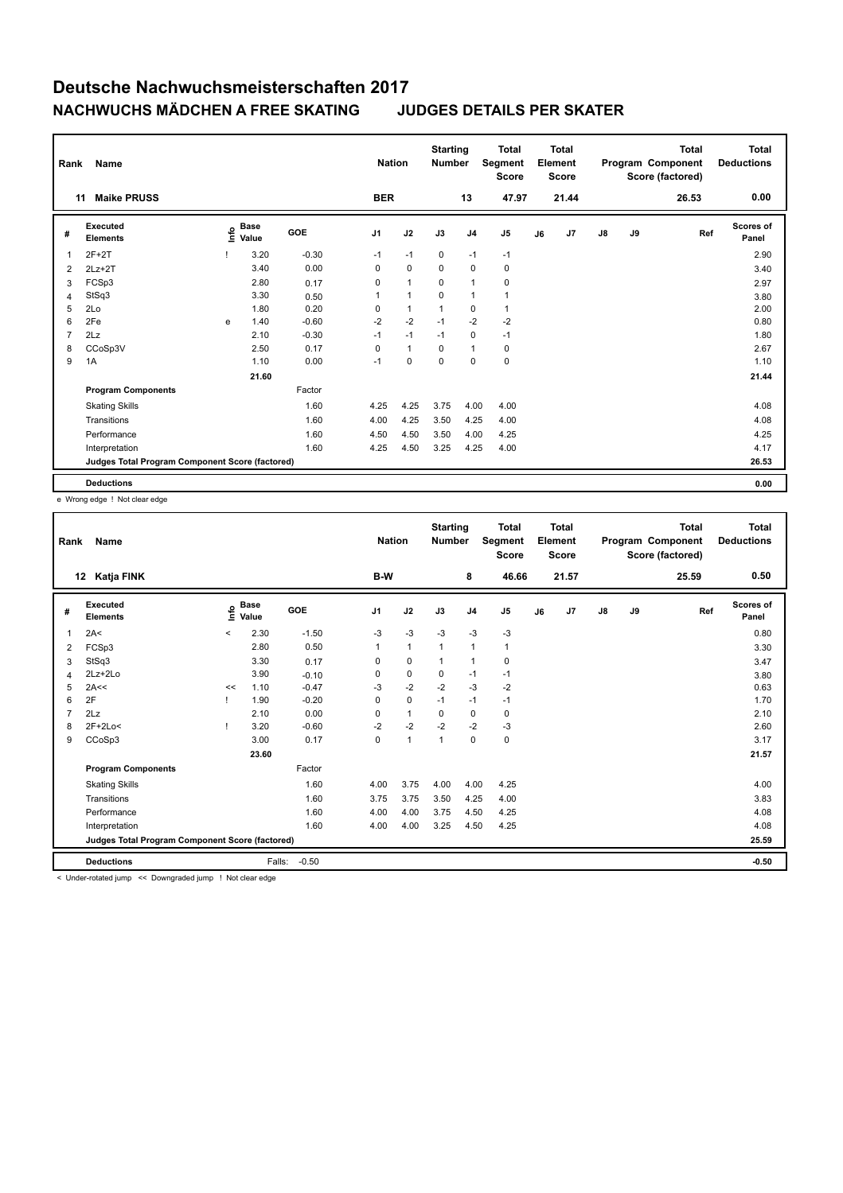| Rank           | Name                                            |    |                      |            | <b>Nation</b>  |              | <b>Starting</b><br><b>Number</b> |                | <b>Total</b><br>Segment<br><b>Score</b> |    | <b>Total</b><br>Element<br><b>Score</b> |               |    | <b>Total</b><br>Program Component<br>Score (factored) | <b>Total</b><br><b>Deductions</b> |
|----------------|-------------------------------------------------|----|----------------------|------------|----------------|--------------|----------------------------------|----------------|-----------------------------------------|----|-----------------------------------------|---------------|----|-------------------------------------------------------|-----------------------------------|
|                | <b>Maike PRUSS</b><br>11                        |    |                      |            | <b>BER</b>     |              |                                  | 13             | 47.97                                   |    | 21.44                                   |               |    | 26.53                                                 | 0.00                              |
| #              | <b>Executed</b><br><b>Elements</b>              | ۴ô | <b>Base</b><br>Value | <b>GOE</b> | J <sub>1</sub> | J2           | J3                               | J <sub>4</sub> | J <sub>5</sub>                          | J6 | J7                                      | $\mathsf{J}8$ | J9 | Ref                                                   | <b>Scores of</b><br>Panel         |
| 1              | $2F+2T$                                         |    | 3.20                 | $-0.30$    | $-1$           | $-1$         | 0                                | $-1$           | $-1$                                    |    |                                         |               |    |                                                       | 2.90                              |
| 2              | $2Lz+2T$                                        |    | 3.40                 | 0.00       | 0              | $\mathbf 0$  | $\mathbf 0$                      | $\mathbf 0$    | $\pmb{0}$                               |    |                                         |               |    |                                                       | 3.40                              |
| 3              | FCSp3                                           |    | 2.80                 | 0.17       | 0              | $\mathbf{1}$ | 0                                | $\mathbf{1}$   | $\pmb{0}$                               |    |                                         |               |    |                                                       | 2.97                              |
| 4              | StSq3                                           |    | 3.30                 | 0.50       | $\mathbf{1}$   | $\mathbf{1}$ | $\Omega$                         | $\mathbf{1}$   | 1                                       |    |                                         |               |    |                                                       | 3.80                              |
| 5              | 2Lo                                             |    | 1.80                 | 0.20       | 0              | $\mathbf{1}$ | 1                                | $\mathbf 0$    | $\mathbf{1}$                            |    |                                         |               |    |                                                       | 2.00                              |
| 6              | 2Fe                                             | e  | 1.40                 | $-0.60$    | $-2$           | $-2$         | $-1$                             | $-2$           | $-2$                                    |    |                                         |               |    |                                                       | 0.80                              |
| $\overline{7}$ | 2Lz                                             |    | 2.10                 | $-0.30$    | $-1$           | $-1$         | $-1$                             | 0              | $-1$                                    |    |                                         |               |    |                                                       | 1.80                              |
| 8              | CCoSp3V                                         |    | 2.50                 | 0.17       | 0              | $\mathbf{1}$ | $\Omega$                         | $\mathbf{1}$   | 0                                       |    |                                         |               |    |                                                       | 2.67                              |
| 9              | 1A                                              |    | 1.10                 | 0.00       | $-1$           | 0            | $\mathbf 0$                      | $\mathbf 0$    | $\pmb{0}$                               |    |                                         |               |    |                                                       | 1.10                              |
|                |                                                 |    | 21.60                |            |                |              |                                  |                |                                         |    |                                         |               |    |                                                       | 21.44                             |
|                | <b>Program Components</b>                       |    |                      | Factor     |                |              |                                  |                |                                         |    |                                         |               |    |                                                       |                                   |
|                | <b>Skating Skills</b>                           |    |                      | 1.60       | 4.25           | 4.25         | 3.75                             | 4.00           | 4.00                                    |    |                                         |               |    |                                                       | 4.08                              |
|                | Transitions                                     |    |                      | 1.60       | 4.00           | 4.25         | 3.50                             | 4.25           | 4.00                                    |    |                                         |               |    |                                                       | 4.08                              |
|                | Performance                                     |    |                      | 1.60       | 4.50           | 4.50         | 3.50                             | 4.00           | 4.25                                    |    |                                         |               |    |                                                       | 4.25                              |
|                | Interpretation                                  |    |                      | 1.60       | 4.25           | 4.50         | 3.25                             | 4.25           | 4.00                                    |    |                                         |               |    |                                                       | 4.17                              |
|                | Judges Total Program Component Score (factored) |    |                      |            |                |              |                                  |                |                                         |    |                                         |               |    |                                                       | 26.53                             |
|                | <b>Deductions</b>                               |    |                      |            |                |              |                                  |                |                                         |    |                                         |               |    |                                                       | 0.00                              |

e Wrong edge ! Not clear edge

| Rank | <b>Name</b>                                     |         |               |         | <b>Nation</b>  |              | <b>Starting</b><br><b>Number</b> |                | <b>Total</b><br>Segment<br><b>Score</b> |    | <b>Total</b><br>Element<br><b>Score</b> |               |    | <b>Total</b><br>Program Component<br>Score (factored) | Total<br><b>Deductions</b> |
|------|-------------------------------------------------|---------|---------------|---------|----------------|--------------|----------------------------------|----------------|-----------------------------------------|----|-----------------------------------------|---------------|----|-------------------------------------------------------|----------------------------|
| 12   | Katja FINK                                      |         |               |         | B-W            |              |                                  | 8              | 46.66                                   |    | 21.57                                   |               |    | 25.59                                                 | 0.50                       |
| #    | Executed<br><b>Elements</b>                     | ۴ů      | Base<br>Value | GOE     | J <sub>1</sub> | J2           | J3                               | J <sub>4</sub> | J <sub>5</sub>                          | J6 | J7                                      | $\mathsf{J}8$ | J9 | Ref                                                   | Scores of<br>Panel         |
| 1    | 2A<                                             | $\prec$ | 2.30          | $-1.50$ | $-3$           | $-3$         | $-3$                             | $-3$           | $-3$                                    |    |                                         |               |    |                                                       | 0.80                       |
| 2    | FCSp3                                           |         | 2.80          | 0.50    | 1              | $\mathbf{1}$ | 1                                | $\mathbf{1}$   | $\mathbf{1}$                            |    |                                         |               |    |                                                       | 3.30                       |
| 3    | StSq3                                           |         | 3.30          | 0.17    | 0              | $\mathbf 0$  | $\mathbf{1}$                     | $\mathbf{1}$   | 0                                       |    |                                         |               |    |                                                       | 3.47                       |
| 4    | 2Lz+2Lo                                         |         | 3.90          | $-0.10$ | 0              | $\pmb{0}$    | $\Omega$                         | $-1$           | $-1$                                    |    |                                         |               |    |                                                       | 3.80                       |
| 5    | 2A<<                                            | <<      | 1.10          | $-0.47$ | $-3$           | $-2$         | $-2$                             | $-3$           | $-2$                                    |    |                                         |               |    |                                                       | 0.63                       |
| 6    | 2F                                              |         | 1.90          | $-0.20$ | 0              | $\mathbf 0$  | $-1$                             | $-1$           | $-1$                                    |    |                                         |               |    |                                                       | 1.70                       |
|      | 2Lz                                             |         | 2.10          | 0.00    | 0              | $\mathbf{1}$ | $\Omega$                         | $\mathbf 0$    | 0                                       |    |                                         |               |    |                                                       | 2.10                       |
| 8    | 2F+2Lo<                                         | J.      | 3.20          | $-0.60$ | $-2$           | $-2$         | $-2$                             | $-2$           | -3                                      |    |                                         |               |    |                                                       | 2.60                       |
| 9    | CCoSp3                                          |         | 3.00          | 0.17    | 0              | $\mathbf{1}$ | 1                                | $\mathbf 0$    | $\pmb{0}$                               |    |                                         |               |    |                                                       | 3.17                       |
|      |                                                 |         | 23.60         |         |                |              |                                  |                |                                         |    |                                         |               |    |                                                       | 21.57                      |
|      | <b>Program Components</b>                       |         |               | Factor  |                |              |                                  |                |                                         |    |                                         |               |    |                                                       |                            |
|      | <b>Skating Skills</b>                           |         |               | 1.60    | 4.00           | 3.75         | 4.00                             | 4.00           | 4.25                                    |    |                                         |               |    |                                                       | 4.00                       |
|      | Transitions                                     |         |               | 1.60    | 3.75           | 3.75         | 3.50                             | 4.25           | 4.00                                    |    |                                         |               |    |                                                       | 3.83                       |
|      | Performance                                     |         |               | 1.60    | 4.00           | 4.00         | 3.75                             | 4.50           | 4.25                                    |    |                                         |               |    |                                                       | 4.08                       |
|      | Interpretation                                  |         |               | 1.60    | 4.00           | 4.00         | 3.25                             | 4.50           | 4.25                                    |    |                                         |               |    |                                                       | 4.08                       |
|      | Judges Total Program Component Score (factored) |         |               |         |                |              |                                  |                |                                         |    |                                         |               |    |                                                       | 25.59                      |
|      | <b>Deductions</b>                               |         | Falls:        | $-0.50$ |                |              |                                  |                |                                         |    |                                         |               |    |                                                       | $-0.50$                    |

< Under-rotated jump << Downgraded jump ! Not clear edge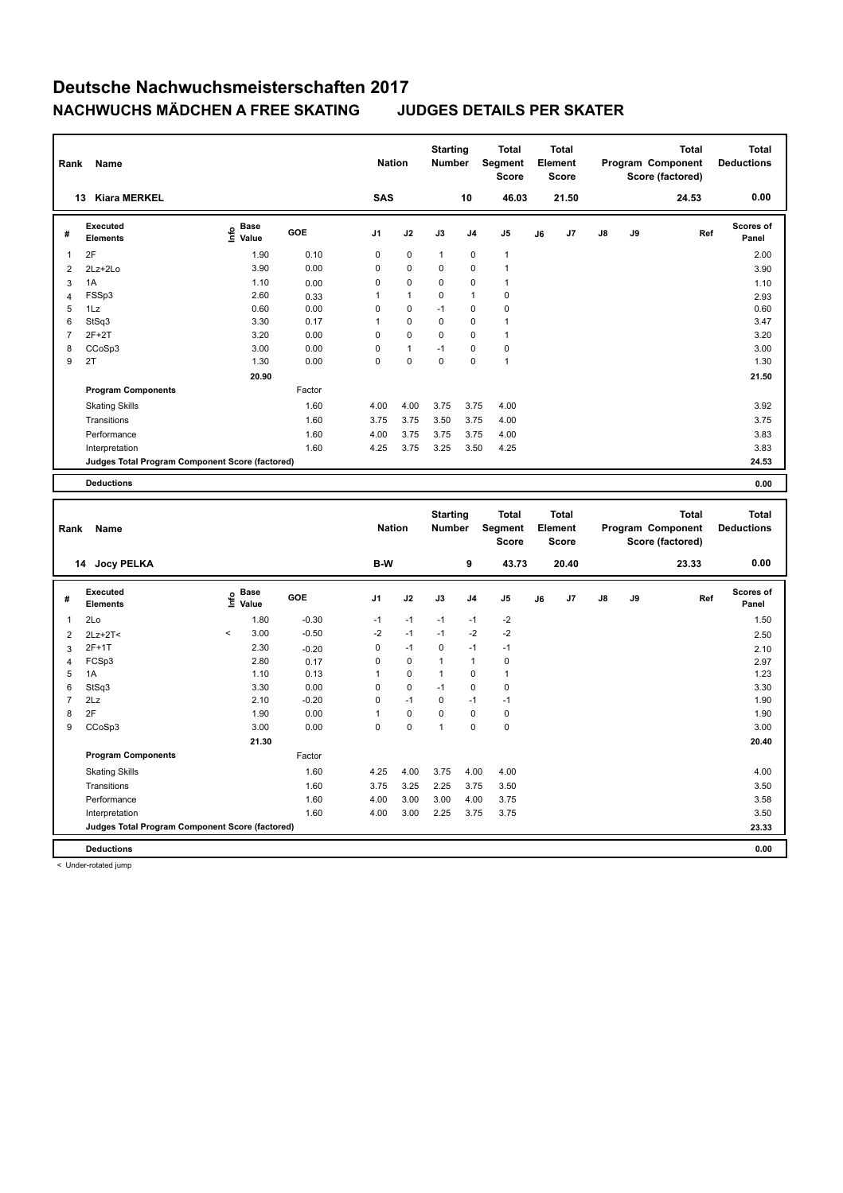| 0.00<br>SAS<br>13 Kiara MERKEL<br>10<br>46.03<br>21.50<br>24.53<br>Scores of<br>Executed<br><b>Base</b><br>e Base<br>⊆ Value<br>GOE<br>J1<br>J2<br>J3<br>J4<br>J <sub>5</sub><br>J7<br>J8<br>J9<br>Ref<br>J6<br>#<br><b>Elements</b><br>Panel<br>2F<br>0<br>$\mathbf{1}$<br>1.90<br>0.10<br>0<br>$\mathbf{1}$<br>0<br>$\mathbf{1}$<br>2.00<br>3.90<br>0.00<br>0<br>0<br>0<br>0<br>$\mathbf{1}$<br>$\overline{2}$<br>3.90<br>2Lz+2Lo<br>0<br>0<br>1A<br>1.10<br>0<br>0<br>$\mathbf{1}$<br>3<br>0.00<br>1.10<br>FSSp3<br>2.60<br>0<br>$\pmb{0}$<br>1<br>$\mathbf{1}$<br>1<br>0.33<br>$\overline{4}$<br>2.93<br>$-1$<br>5<br>1Lz<br>0.60<br>0.00<br>0<br>0<br>0<br>$\mathbf 0$<br>0.60<br>6<br>StSq3<br>3.30<br>$\mathbf{1}$<br>0<br>0<br>0<br>$\mathbf{1}$<br>3.47<br>0.17<br>$\overline{7}$<br>$2F+2T$<br>0<br>0<br>0<br>3.20<br>0.00<br>0<br>$\mathbf{1}$<br>3.20<br>0<br>$-1$<br>$\pmb{0}$<br>3.00<br>$\mathbf{1}$<br>$\Omega$<br>3.00<br>8<br>CCoSp3<br>0.00<br>0<br>$\mathbf 0$<br>9<br>2T<br>0<br>0<br>$\mathbf{1}$<br>1.30<br>0.00<br>1.30<br>20.90<br>21.50<br><b>Program Components</b><br>Factor<br>1.60<br>4.00<br>4.00<br>3.75<br>3.75<br>4.00<br>3.92<br><b>Skating Skills</b><br>1.60<br>3.75<br>3.75<br>3.50<br>3.75<br>4.00<br>3.75<br>Transitions<br>1.60<br>4.00<br>3.75<br>3.75<br>3.75<br>4.00<br>3.83<br>Performance<br>1.60<br>4.25<br>3.75<br>3.25<br>3.50<br>4.25<br>3.83<br>Interpretation<br>Judges Total Program Component Score (factored)<br>24.53<br>0.00<br><b>Deductions</b><br><b>Starting</b><br><b>Total</b><br><b>Total</b><br><b>Total</b><br><b>Total</b><br>Segment<br>Element<br><b>Nation</b><br>Program Component<br><b>Deductions</b><br>Number<br>Rank<br>Name<br><b>Score</b><br>Score<br>Score (factored)<br>0.00<br>B-W<br>9<br>43.73<br>14 Jocy PELKA<br>20.40<br>23.33<br>Executed<br>Scores of<br><b>Base</b><br>١nfo<br>GOE<br>J1<br>J2<br>J3<br>J7<br>J8<br>J9<br>#<br>J4<br>J5<br>J6<br>Ref<br>Value<br><b>Elements</b><br>Panel<br>2Lo<br>$-0.30$<br>$-2$<br>1.50<br>$\mathbf{1}$<br>1.80<br>$-1$<br>$-1$<br>$-1$<br>$-1$<br>$-2$<br>$-2$<br>3.00<br>$-0.50$<br>$-2$<br>$-1$<br>$-1$<br>$\,<$<br>$\overline{2}$<br>$2Lz+2T<$<br>2.50<br>0<br>$2F+1T$<br>2.30<br>$-1$<br>0<br>$-1$<br>$-1$<br>3<br>$-0.20$<br>2.10<br>2.80<br>0<br>FCSp3<br>$\Omega$<br>$\mathbf{1}$<br>$\mathbf 0$<br>0.17<br>$\mathbf{1}$<br>2.97<br>$\overline{4}$<br>5<br>1.10<br>1<br>$\Omega$<br>0<br>1A<br>0.13<br>$\mathbf{1}$<br>$\mathbf{1}$<br>1.23<br>0<br>$-1$<br>0<br>$\mathbf 0$<br>6<br>StSq3<br>3.30<br>0.00<br>0<br>3.30<br>$\overline{7}$<br>2.10<br>$-0.20$<br>0<br>$-1$<br>0<br>2Lz<br>$-1$<br>$-1$<br>1.90<br>8<br>2F<br>1.90<br>0.00<br>$\mathbf{1}$<br>0<br>0<br>0<br>$\pmb{0}$<br>1.90<br>9<br>3.00<br>0<br>0<br>$\pmb{0}$<br>3.00<br>CCoSp3<br>0.00<br>$\mathbf{1}$<br>0<br>21.30<br>20.40<br><b>Program Components</b><br>Factor<br>1.60<br>4.25<br>4.00<br>4.00<br>4.00<br><b>Skating Skills</b><br>3.75<br>4.00<br>3.25<br>2.25<br>3.50<br>1.60<br>3.75<br>3.75<br>3.50<br>Transitions | Rank | <b>Name</b> |  | <b>Nation</b> | <b>Starting</b><br><b>Number</b> | <b>Total</b><br><b>Segment</b><br><b>Score</b> | <b>Total</b><br>Element<br>Score |  | <b>Total</b><br>Program Component<br>Score (factored) | <b>Total</b><br><b>Deductions</b> |
|----------------------------------------------------------------------------------------------------------------------------------------------------------------------------------------------------------------------------------------------------------------------------------------------------------------------------------------------------------------------------------------------------------------------------------------------------------------------------------------------------------------------------------------------------------------------------------------------------------------------------------------------------------------------------------------------------------------------------------------------------------------------------------------------------------------------------------------------------------------------------------------------------------------------------------------------------------------------------------------------------------------------------------------------------------------------------------------------------------------------------------------------------------------------------------------------------------------------------------------------------------------------------------------------------------------------------------------------------------------------------------------------------------------------------------------------------------------------------------------------------------------------------------------------------------------------------------------------------------------------------------------------------------------------------------------------------------------------------------------------------------------------------------------------------------------------------------------------------------------------------------------------------------------------------------------------------------------------------------------------------------------------------------------------------------------------------------------------------------------------------------------------------------------------------------------------------------------------------------------------------------------------------------------------------------------------------------------------------------------------------------------------------------------------------------------------------------------------------------------------------------------------------------------------------------------------------------------------------------------------------------------------------------------------------------------------------------------------------------------------------------------------------------------------------------------------------------------------------------------------------------------------------------------------------------------------------------------------------------------------------------------------------------------|------|-------------|--|---------------|----------------------------------|------------------------------------------------|----------------------------------|--|-------------------------------------------------------|-----------------------------------|
|                                                                                                                                                                                                                                                                                                                                                                                                                                                                                                                                                                                                                                                                                                                                                                                                                                                                                                                                                                                                                                                                                                                                                                                                                                                                                                                                                                                                                                                                                                                                                                                                                                                                                                                                                                                                                                                                                                                                                                                                                                                                                                                                                                                                                                                                                                                                                                                                                                                                                                                                                                                                                                                                                                                                                                                                                                                                                                                                                                                                                                        |      |             |  |               |                                  |                                                |                                  |  |                                                       |                                   |
|                                                                                                                                                                                                                                                                                                                                                                                                                                                                                                                                                                                                                                                                                                                                                                                                                                                                                                                                                                                                                                                                                                                                                                                                                                                                                                                                                                                                                                                                                                                                                                                                                                                                                                                                                                                                                                                                                                                                                                                                                                                                                                                                                                                                                                                                                                                                                                                                                                                                                                                                                                                                                                                                                                                                                                                                                                                                                                                                                                                                                                        |      |             |  |               |                                  |                                                |                                  |  |                                                       |                                   |
|                                                                                                                                                                                                                                                                                                                                                                                                                                                                                                                                                                                                                                                                                                                                                                                                                                                                                                                                                                                                                                                                                                                                                                                                                                                                                                                                                                                                                                                                                                                                                                                                                                                                                                                                                                                                                                                                                                                                                                                                                                                                                                                                                                                                                                                                                                                                                                                                                                                                                                                                                                                                                                                                                                                                                                                                                                                                                                                                                                                                                                        |      |             |  |               |                                  |                                                |                                  |  |                                                       |                                   |
|                                                                                                                                                                                                                                                                                                                                                                                                                                                                                                                                                                                                                                                                                                                                                                                                                                                                                                                                                                                                                                                                                                                                                                                                                                                                                                                                                                                                                                                                                                                                                                                                                                                                                                                                                                                                                                                                                                                                                                                                                                                                                                                                                                                                                                                                                                                                                                                                                                                                                                                                                                                                                                                                                                                                                                                                                                                                                                                                                                                                                                        |      |             |  |               |                                  |                                                |                                  |  |                                                       |                                   |
|                                                                                                                                                                                                                                                                                                                                                                                                                                                                                                                                                                                                                                                                                                                                                                                                                                                                                                                                                                                                                                                                                                                                                                                                                                                                                                                                                                                                                                                                                                                                                                                                                                                                                                                                                                                                                                                                                                                                                                                                                                                                                                                                                                                                                                                                                                                                                                                                                                                                                                                                                                                                                                                                                                                                                                                                                                                                                                                                                                                                                                        |      |             |  |               |                                  |                                                |                                  |  |                                                       |                                   |
|                                                                                                                                                                                                                                                                                                                                                                                                                                                                                                                                                                                                                                                                                                                                                                                                                                                                                                                                                                                                                                                                                                                                                                                                                                                                                                                                                                                                                                                                                                                                                                                                                                                                                                                                                                                                                                                                                                                                                                                                                                                                                                                                                                                                                                                                                                                                                                                                                                                                                                                                                                                                                                                                                                                                                                                                                                                                                                                                                                                                                                        |      |             |  |               |                                  |                                                |                                  |  |                                                       |                                   |
|                                                                                                                                                                                                                                                                                                                                                                                                                                                                                                                                                                                                                                                                                                                                                                                                                                                                                                                                                                                                                                                                                                                                                                                                                                                                                                                                                                                                                                                                                                                                                                                                                                                                                                                                                                                                                                                                                                                                                                                                                                                                                                                                                                                                                                                                                                                                                                                                                                                                                                                                                                                                                                                                                                                                                                                                                                                                                                                                                                                                                                        |      |             |  |               |                                  |                                                |                                  |  |                                                       |                                   |
|                                                                                                                                                                                                                                                                                                                                                                                                                                                                                                                                                                                                                                                                                                                                                                                                                                                                                                                                                                                                                                                                                                                                                                                                                                                                                                                                                                                                                                                                                                                                                                                                                                                                                                                                                                                                                                                                                                                                                                                                                                                                                                                                                                                                                                                                                                                                                                                                                                                                                                                                                                                                                                                                                                                                                                                                                                                                                                                                                                                                                                        |      |             |  |               |                                  |                                                |                                  |  |                                                       |                                   |
|                                                                                                                                                                                                                                                                                                                                                                                                                                                                                                                                                                                                                                                                                                                                                                                                                                                                                                                                                                                                                                                                                                                                                                                                                                                                                                                                                                                                                                                                                                                                                                                                                                                                                                                                                                                                                                                                                                                                                                                                                                                                                                                                                                                                                                                                                                                                                                                                                                                                                                                                                                                                                                                                                                                                                                                                                                                                                                                                                                                                                                        |      |             |  |               |                                  |                                                |                                  |  |                                                       |                                   |
|                                                                                                                                                                                                                                                                                                                                                                                                                                                                                                                                                                                                                                                                                                                                                                                                                                                                                                                                                                                                                                                                                                                                                                                                                                                                                                                                                                                                                                                                                                                                                                                                                                                                                                                                                                                                                                                                                                                                                                                                                                                                                                                                                                                                                                                                                                                                                                                                                                                                                                                                                                                                                                                                                                                                                                                                                                                                                                                                                                                                                                        |      |             |  |               |                                  |                                                |                                  |  |                                                       |                                   |
|                                                                                                                                                                                                                                                                                                                                                                                                                                                                                                                                                                                                                                                                                                                                                                                                                                                                                                                                                                                                                                                                                                                                                                                                                                                                                                                                                                                                                                                                                                                                                                                                                                                                                                                                                                                                                                                                                                                                                                                                                                                                                                                                                                                                                                                                                                                                                                                                                                                                                                                                                                                                                                                                                                                                                                                                                                                                                                                                                                                                                                        |      |             |  |               |                                  |                                                |                                  |  |                                                       |                                   |
|                                                                                                                                                                                                                                                                                                                                                                                                                                                                                                                                                                                                                                                                                                                                                                                                                                                                                                                                                                                                                                                                                                                                                                                                                                                                                                                                                                                                                                                                                                                                                                                                                                                                                                                                                                                                                                                                                                                                                                                                                                                                                                                                                                                                                                                                                                                                                                                                                                                                                                                                                                                                                                                                                                                                                                                                                                                                                                                                                                                                                                        |      |             |  |               |                                  |                                                |                                  |  |                                                       |                                   |
|                                                                                                                                                                                                                                                                                                                                                                                                                                                                                                                                                                                                                                                                                                                                                                                                                                                                                                                                                                                                                                                                                                                                                                                                                                                                                                                                                                                                                                                                                                                                                                                                                                                                                                                                                                                                                                                                                                                                                                                                                                                                                                                                                                                                                                                                                                                                                                                                                                                                                                                                                                                                                                                                                                                                                                                                                                                                                                                                                                                                                                        |      |             |  |               |                                  |                                                |                                  |  |                                                       |                                   |
|                                                                                                                                                                                                                                                                                                                                                                                                                                                                                                                                                                                                                                                                                                                                                                                                                                                                                                                                                                                                                                                                                                                                                                                                                                                                                                                                                                                                                                                                                                                                                                                                                                                                                                                                                                                                                                                                                                                                                                                                                                                                                                                                                                                                                                                                                                                                                                                                                                                                                                                                                                                                                                                                                                                                                                                                                                                                                                                                                                                                                                        |      |             |  |               |                                  |                                                |                                  |  |                                                       |                                   |
|                                                                                                                                                                                                                                                                                                                                                                                                                                                                                                                                                                                                                                                                                                                                                                                                                                                                                                                                                                                                                                                                                                                                                                                                                                                                                                                                                                                                                                                                                                                                                                                                                                                                                                                                                                                                                                                                                                                                                                                                                                                                                                                                                                                                                                                                                                                                                                                                                                                                                                                                                                                                                                                                                                                                                                                                                                                                                                                                                                                                                                        |      |             |  |               |                                  |                                                |                                  |  |                                                       |                                   |
|                                                                                                                                                                                                                                                                                                                                                                                                                                                                                                                                                                                                                                                                                                                                                                                                                                                                                                                                                                                                                                                                                                                                                                                                                                                                                                                                                                                                                                                                                                                                                                                                                                                                                                                                                                                                                                                                                                                                                                                                                                                                                                                                                                                                                                                                                                                                                                                                                                                                                                                                                                                                                                                                                                                                                                                                                                                                                                                                                                                                                                        |      |             |  |               |                                  |                                                |                                  |  |                                                       |                                   |
|                                                                                                                                                                                                                                                                                                                                                                                                                                                                                                                                                                                                                                                                                                                                                                                                                                                                                                                                                                                                                                                                                                                                                                                                                                                                                                                                                                                                                                                                                                                                                                                                                                                                                                                                                                                                                                                                                                                                                                                                                                                                                                                                                                                                                                                                                                                                                                                                                                                                                                                                                                                                                                                                                                                                                                                                                                                                                                                                                                                                                                        |      |             |  |               |                                  |                                                |                                  |  |                                                       |                                   |
|                                                                                                                                                                                                                                                                                                                                                                                                                                                                                                                                                                                                                                                                                                                                                                                                                                                                                                                                                                                                                                                                                                                                                                                                                                                                                                                                                                                                                                                                                                                                                                                                                                                                                                                                                                                                                                                                                                                                                                                                                                                                                                                                                                                                                                                                                                                                                                                                                                                                                                                                                                                                                                                                                                                                                                                                                                                                                                                                                                                                                                        |      |             |  |               |                                  |                                                |                                  |  |                                                       |                                   |
|                                                                                                                                                                                                                                                                                                                                                                                                                                                                                                                                                                                                                                                                                                                                                                                                                                                                                                                                                                                                                                                                                                                                                                                                                                                                                                                                                                                                                                                                                                                                                                                                                                                                                                                                                                                                                                                                                                                                                                                                                                                                                                                                                                                                                                                                                                                                                                                                                                                                                                                                                                                                                                                                                                                                                                                                                                                                                                                                                                                                                                        |      |             |  |               |                                  |                                                |                                  |  |                                                       |                                   |
|                                                                                                                                                                                                                                                                                                                                                                                                                                                                                                                                                                                                                                                                                                                                                                                                                                                                                                                                                                                                                                                                                                                                                                                                                                                                                                                                                                                                                                                                                                                                                                                                                                                                                                                                                                                                                                                                                                                                                                                                                                                                                                                                                                                                                                                                                                                                                                                                                                                                                                                                                                                                                                                                                                                                                                                                                                                                                                                                                                                                                                        |      |             |  |               |                                  |                                                |                                  |  |                                                       |                                   |
|                                                                                                                                                                                                                                                                                                                                                                                                                                                                                                                                                                                                                                                                                                                                                                                                                                                                                                                                                                                                                                                                                                                                                                                                                                                                                                                                                                                                                                                                                                                                                                                                                                                                                                                                                                                                                                                                                                                                                                                                                                                                                                                                                                                                                                                                                                                                                                                                                                                                                                                                                                                                                                                                                                                                                                                                                                                                                                                                                                                                                                        |      |             |  |               |                                  |                                                |                                  |  |                                                       |                                   |
|                                                                                                                                                                                                                                                                                                                                                                                                                                                                                                                                                                                                                                                                                                                                                                                                                                                                                                                                                                                                                                                                                                                                                                                                                                                                                                                                                                                                                                                                                                                                                                                                                                                                                                                                                                                                                                                                                                                                                                                                                                                                                                                                                                                                                                                                                                                                                                                                                                                                                                                                                                                                                                                                                                                                                                                                                                                                                                                                                                                                                                        |      |             |  |               |                                  |                                                |                                  |  |                                                       |                                   |
|                                                                                                                                                                                                                                                                                                                                                                                                                                                                                                                                                                                                                                                                                                                                                                                                                                                                                                                                                                                                                                                                                                                                                                                                                                                                                                                                                                                                                                                                                                                                                                                                                                                                                                                                                                                                                                                                                                                                                                                                                                                                                                                                                                                                                                                                                                                                                                                                                                                                                                                                                                                                                                                                                                                                                                                                                                                                                                                                                                                                                                        |      |             |  |               |                                  |                                                |                                  |  |                                                       |                                   |
|                                                                                                                                                                                                                                                                                                                                                                                                                                                                                                                                                                                                                                                                                                                                                                                                                                                                                                                                                                                                                                                                                                                                                                                                                                                                                                                                                                                                                                                                                                                                                                                                                                                                                                                                                                                                                                                                                                                                                                                                                                                                                                                                                                                                                                                                                                                                                                                                                                                                                                                                                                                                                                                                                                                                                                                                                                                                                                                                                                                                                                        |      |             |  |               |                                  |                                                |                                  |  |                                                       |                                   |
|                                                                                                                                                                                                                                                                                                                                                                                                                                                                                                                                                                                                                                                                                                                                                                                                                                                                                                                                                                                                                                                                                                                                                                                                                                                                                                                                                                                                                                                                                                                                                                                                                                                                                                                                                                                                                                                                                                                                                                                                                                                                                                                                                                                                                                                                                                                                                                                                                                                                                                                                                                                                                                                                                                                                                                                                                                                                                                                                                                                                                                        |      |             |  |               |                                  |                                                |                                  |  |                                                       |                                   |
|                                                                                                                                                                                                                                                                                                                                                                                                                                                                                                                                                                                                                                                                                                                                                                                                                                                                                                                                                                                                                                                                                                                                                                                                                                                                                                                                                                                                                                                                                                                                                                                                                                                                                                                                                                                                                                                                                                                                                                                                                                                                                                                                                                                                                                                                                                                                                                                                                                                                                                                                                                                                                                                                                                                                                                                                                                                                                                                                                                                                                                        |      |             |  |               |                                  |                                                |                                  |  |                                                       |                                   |
|                                                                                                                                                                                                                                                                                                                                                                                                                                                                                                                                                                                                                                                                                                                                                                                                                                                                                                                                                                                                                                                                                                                                                                                                                                                                                                                                                                                                                                                                                                                                                                                                                                                                                                                                                                                                                                                                                                                                                                                                                                                                                                                                                                                                                                                                                                                                                                                                                                                                                                                                                                                                                                                                                                                                                                                                                                                                                                                                                                                                                                        |      |             |  |               |                                  |                                                |                                  |  |                                                       |                                   |
|                                                                                                                                                                                                                                                                                                                                                                                                                                                                                                                                                                                                                                                                                                                                                                                                                                                                                                                                                                                                                                                                                                                                                                                                                                                                                                                                                                                                                                                                                                                                                                                                                                                                                                                                                                                                                                                                                                                                                                                                                                                                                                                                                                                                                                                                                                                                                                                                                                                                                                                                                                                                                                                                                                                                                                                                                                                                                                                                                                                                                                        |      |             |  |               |                                  |                                                |                                  |  |                                                       |                                   |
|                                                                                                                                                                                                                                                                                                                                                                                                                                                                                                                                                                                                                                                                                                                                                                                                                                                                                                                                                                                                                                                                                                                                                                                                                                                                                                                                                                                                                                                                                                                                                                                                                                                                                                                                                                                                                                                                                                                                                                                                                                                                                                                                                                                                                                                                                                                                                                                                                                                                                                                                                                                                                                                                                                                                                                                                                                                                                                                                                                                                                                        |      |             |  |               |                                  |                                                |                                  |  |                                                       |                                   |
|                                                                                                                                                                                                                                                                                                                                                                                                                                                                                                                                                                                                                                                                                                                                                                                                                                                                                                                                                                                                                                                                                                                                                                                                                                                                                                                                                                                                                                                                                                                                                                                                                                                                                                                                                                                                                                                                                                                                                                                                                                                                                                                                                                                                                                                                                                                                                                                                                                                                                                                                                                                                                                                                                                                                                                                                                                                                                                                                                                                                                                        |      |             |  |               |                                  |                                                |                                  |  |                                                       |                                   |
|                                                                                                                                                                                                                                                                                                                                                                                                                                                                                                                                                                                                                                                                                                                                                                                                                                                                                                                                                                                                                                                                                                                                                                                                                                                                                                                                                                                                                                                                                                                                                                                                                                                                                                                                                                                                                                                                                                                                                                                                                                                                                                                                                                                                                                                                                                                                                                                                                                                                                                                                                                                                                                                                                                                                                                                                                                                                                                                                                                                                                                        |      |             |  |               |                                  |                                                |                                  |  |                                                       |                                   |
|                                                                                                                                                                                                                                                                                                                                                                                                                                                                                                                                                                                                                                                                                                                                                                                                                                                                                                                                                                                                                                                                                                                                                                                                                                                                                                                                                                                                                                                                                                                                                                                                                                                                                                                                                                                                                                                                                                                                                                                                                                                                                                                                                                                                                                                                                                                                                                                                                                                                                                                                                                                                                                                                                                                                                                                                                                                                                                                                                                                                                                        |      |             |  |               |                                  |                                                |                                  |  |                                                       |                                   |
|                                                                                                                                                                                                                                                                                                                                                                                                                                                                                                                                                                                                                                                                                                                                                                                                                                                                                                                                                                                                                                                                                                                                                                                                                                                                                                                                                                                                                                                                                                                                                                                                                                                                                                                                                                                                                                                                                                                                                                                                                                                                                                                                                                                                                                                                                                                                                                                                                                                                                                                                                                                                                                                                                                                                                                                                                                                                                                                                                                                                                                        |      |             |  |               |                                  |                                                |                                  |  |                                                       |                                   |
|                                                                                                                                                                                                                                                                                                                                                                                                                                                                                                                                                                                                                                                                                                                                                                                                                                                                                                                                                                                                                                                                                                                                                                                                                                                                                                                                                                                                                                                                                                                                                                                                                                                                                                                                                                                                                                                                                                                                                                                                                                                                                                                                                                                                                                                                                                                                                                                                                                                                                                                                                                                                                                                                                                                                                                                                                                                                                                                                                                                                                                        |      |             |  |               |                                  |                                                |                                  |  |                                                       |                                   |
|                                                                                                                                                                                                                                                                                                                                                                                                                                                                                                                                                                                                                                                                                                                                                                                                                                                                                                                                                                                                                                                                                                                                                                                                                                                                                                                                                                                                                                                                                                                                                                                                                                                                                                                                                                                                                                                                                                                                                                                                                                                                                                                                                                                                                                                                                                                                                                                                                                                                                                                                                                                                                                                                                                                                                                                                                                                                                                                                                                                                                                        |      |             |  |               |                                  |                                                |                                  |  |                                                       |                                   |
|                                                                                                                                                                                                                                                                                                                                                                                                                                                                                                                                                                                                                                                                                                                                                                                                                                                                                                                                                                                                                                                                                                                                                                                                                                                                                                                                                                                                                                                                                                                                                                                                                                                                                                                                                                                                                                                                                                                                                                                                                                                                                                                                                                                                                                                                                                                                                                                                                                                                                                                                                                                                                                                                                                                                                                                                                                                                                                                                                                                                                                        |      |             |  |               |                                  |                                                |                                  |  |                                                       |                                   |
| 4.00<br>3.00<br>3.00<br>3.75<br>3.58<br>1.60<br>4.00<br>Performance                                                                                                                                                                                                                                                                                                                                                                                                                                                                                                                                                                                                                                                                                                                                                                                                                                                                                                                                                                                                                                                                                                                                                                                                                                                                                                                                                                                                                                                                                                                                                                                                                                                                                                                                                                                                                                                                                                                                                                                                                                                                                                                                                                                                                                                                                                                                                                                                                                                                                                                                                                                                                                                                                                                                                                                                                                                                                                                                                                    |      |             |  |               |                                  |                                                |                                  |  |                                                       |                                   |

Interpretation 1.60 4.00 3.00 2.25 3.75 3.75 3.75 3.75 3.75

**Judges Total Program Component Score (factored) 23.33**

**Deductions 0.00**

< Under-rotated jump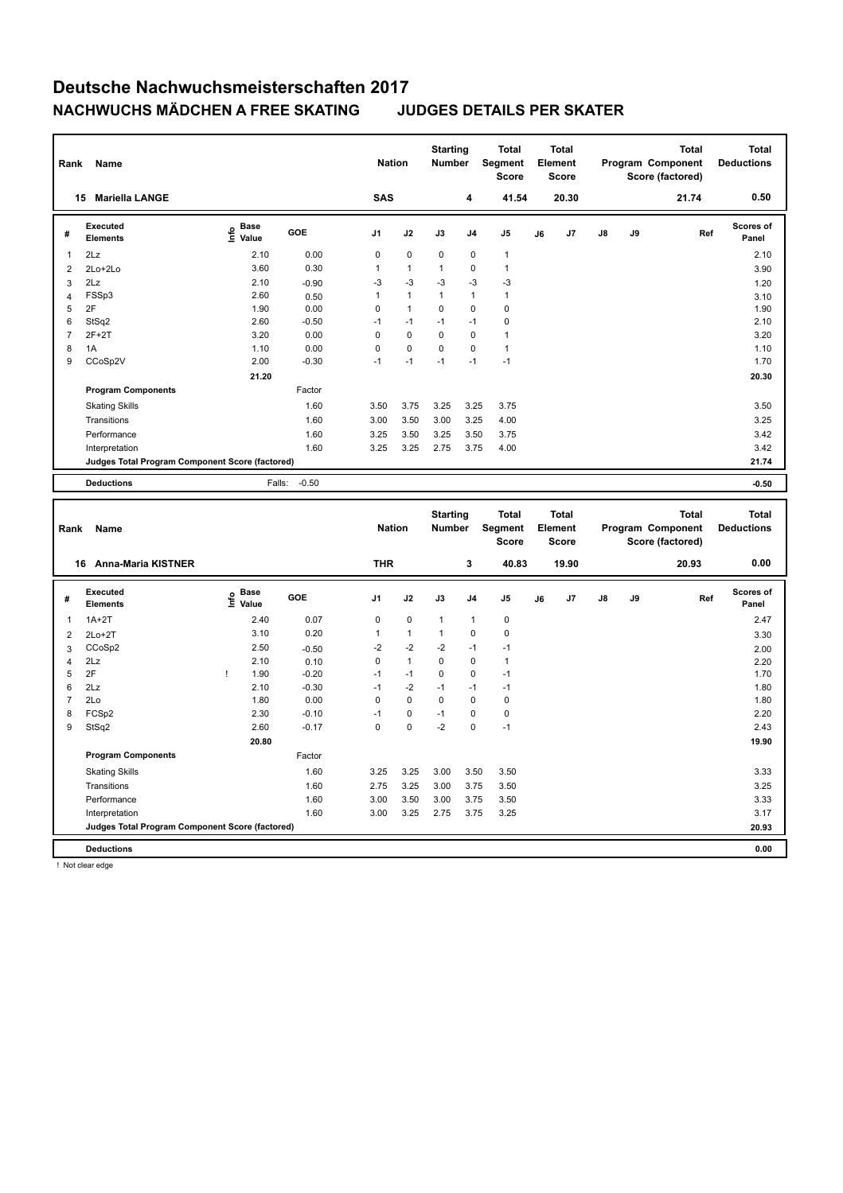| Rank           | Name                                            |                                  |                 | <b>Nation</b>  |              | <b>Starting</b><br>Number |                | <b>Total</b><br>Segment<br><b>Score</b> |    | <b>Total</b><br>Element<br><b>Score</b> |    |    | <b>Total</b><br>Program Component<br>Score (factored) | <b>Total</b><br><b>Deductions</b> |
|----------------|-------------------------------------------------|----------------------------------|-----------------|----------------|--------------|---------------------------|----------------|-----------------------------------------|----|-----------------------------------------|----|----|-------------------------------------------------------|-----------------------------------|
|                | 15 Mariella LANGE                               |                                  |                 | <b>SAS</b>     |              |                           | 4              | 41.54                                   |    | 20.30                                   |    |    | 21.74                                                 | 0.50                              |
| #              | <b>Executed</b><br><b>Elements</b>              | e Base<br>⊆ Value                | GOE             | J <sub>1</sub> | J2           | J3                        | J <sub>4</sub> | J5                                      | J6 | J7                                      | J8 | J9 | Ref                                                   | <b>Scores of</b><br>Panel         |
| $\mathbf{1}$   | 2Lz                                             | 2.10                             | 0.00            | $\mathbf 0$    | 0            | $\mathbf 0$               | $\mathbf 0$    | $\mathbf{1}$                            |    |                                         |    |    |                                                       | 2.10                              |
| $\overline{2}$ | $2Lo+2Lo$                                       | 3.60                             | 0.30            | 1              | $\mathbf{1}$ | $\mathbf{1}$              | $\mathbf 0$    | $\mathbf{1}$                            |    |                                         |    |    |                                                       | 3.90                              |
| 3              | 2Lz                                             | 2.10                             | $-0.90$         | $-3$           | $-3$         | -3                        | $-3$           | $-3$                                    |    |                                         |    |    |                                                       | 1.20                              |
| 4              | FSSp3                                           | 2.60                             | 0.50            | $\mathbf{1}$   | 1            | $\mathbf{1}$              | 1              | $\mathbf{1}$                            |    |                                         |    |    |                                                       | 3.10                              |
| 5              | 2F                                              | 1.90                             | 0.00            | $\pmb{0}$      | $\mathbf{1}$ | $\mathbf 0$               | $\mathbf 0$    | $\pmb{0}$                               |    |                                         |    |    |                                                       | 1.90                              |
| 6              | StSq2                                           | 2.60                             | $-0.50$         | $-1$           | $-1$         | $-1$                      | $-1$           | $\pmb{0}$                               |    |                                         |    |    |                                                       | 2.10                              |
| $\overline{7}$ | $2F+2T$                                         | 3.20                             | 0.00            | $\mathbf 0$    | 0            | $\mathbf 0$               | $\mathbf 0$    | $\mathbf{1}$                            |    |                                         |    |    |                                                       | 3.20                              |
| 8              | 1A                                              | 1.10                             | 0.00            | $\mathbf 0$    | 0            | $\mathbf 0$               | $\mathbf 0$    | $\mathbf{1}$                            |    |                                         |    |    |                                                       | 1.10                              |
| 9              | CCoSp2V                                         | 2.00                             | $-0.30$         | $-1$           | $-1$         | $-1$                      | $-1$           | $-1$                                    |    |                                         |    |    |                                                       | 1.70                              |
|                |                                                 | 21.20                            |                 |                |              |                           |                |                                         |    |                                         |    |    |                                                       | 20.30                             |
|                | <b>Program Components</b>                       |                                  | Factor          |                |              |                           |                |                                         |    |                                         |    |    |                                                       |                                   |
|                | <b>Skating Skills</b>                           |                                  | 1.60            | 3.50           | 3.75         | 3.25                      | 3.25           | 3.75                                    |    |                                         |    |    |                                                       | 3.50                              |
|                | Transitions                                     |                                  | 1.60            | 3.00           | 3.50         | 3.00                      | 3.25           | 4.00                                    |    |                                         |    |    |                                                       | 3.25                              |
|                | Performance                                     |                                  | 1.60            | 3.25           | 3.50         | 3.25                      | 3.50           | 3.75                                    |    |                                         |    |    |                                                       | 3.42                              |
|                | Interpretation                                  |                                  | 1.60            | 3.25           | 3.25         | 2.75                      | 3.75           | 4.00                                    |    |                                         |    |    |                                                       | 3.42                              |
|                | Judges Total Program Component Score (factored) |                                  |                 |                |              |                           |                |                                         |    |                                         |    |    |                                                       | 21.74                             |
|                |                                                 |                                  |                 |                |              |                           |                |                                         |    |                                         |    |    |                                                       |                                   |
|                | <b>Deductions</b>                               | Falls:                           | $-0.50$         |                |              |                           |                |                                         |    |                                         |    |    |                                                       | $-0.50$                           |
|                |                                                 |                                  |                 |                |              |                           |                |                                         |    |                                         |    |    |                                                       |                                   |
| Rank           | Name                                            |                                  |                 | <b>Nation</b>  |              | <b>Starting</b><br>Number |                | <b>Total</b><br><b>Segment</b>          |    | <b>Total</b><br>Element                 |    |    | <b>Total</b><br>Program Component                     | <b>Total</b><br><b>Deductions</b> |
|                |                                                 |                                  |                 |                |              |                           |                | <b>Score</b>                            |    | Score                                   |    |    | Score (factored)                                      | 0.00                              |
|                | 16 Anna-Maria KISTNER                           |                                  |                 | <b>THR</b>     |              |                           | 3              | 40.83                                   |    | 19.90                                   |    |    | 20.93                                                 |                                   |
| #              | Executed<br><b>Elements</b>                     | <b>Base</b><br>e Base<br>⊆ Value | GOE             | J1             | J2           | J3                        | J4             | J5                                      | J6 | J7                                      | J8 | J9 | Ref                                                   | Scores of<br>Panel                |
| 1              | $1A+2T$                                         | 2.40                             | 0.07            | $\pmb{0}$      | 0            | $\mathbf{1}$              | 1              | $\pmb{0}$                               |    |                                         |    |    |                                                       | 2.47                              |
|                |                                                 | 3.10                             | 0.20            | $\mathbf{1}$   | $\mathbf{1}$ | $\mathbf{1}$              | $\mathbf 0$    | $\mathbf 0$                             |    |                                         |    |    |                                                       |                                   |
| $\overline{2}$ | $2Lo+2T$                                        | 2.50                             |                 |                | $-2$         | $-2$                      | $-1$           | $-1$                                    |    |                                         |    |    |                                                       | 3.30                              |
| 3              | CCoSp2                                          |                                  | $-0.50$         | $-2$           | $\mathbf{1}$ | $\mathbf 0$               | $\mathbf 0$    | $\mathbf{1}$                            |    |                                         |    |    |                                                       | 2.00                              |
| 4              | 2Lz                                             | 2.10<br>J.                       | 0.10            | $\pmb{0}$      |              |                           |                |                                         |    |                                         |    |    |                                                       | 2.20                              |
| 5<br>6         | 2F<br>2Lz                                       | 1.90                             | $-0.20$         | $-1$<br>$-1$   | $-1$         | 0<br>$-1$                 | 0<br>$-1$      | $-1$<br>$-1$                            |    |                                         |    |    |                                                       | 1.70                              |
| $\overline{7}$ | 2Lo                                             | 2.10                             | $-0.30$         | $\pmb{0}$      | $-2$<br>0    | $\mathbf 0$               | $\mathbf 0$    | $\pmb{0}$                               |    |                                         |    |    |                                                       | 1.80                              |
|                |                                                 | 1.80<br>2.30                     | 0.00<br>$-0.10$ | $-1$           | 0            | $-1$                      | $\mathbf 0$    | $\mathbf 0$                             |    |                                         |    |    |                                                       | 1.80<br>2.20                      |
| 8<br>9         | FCSp2                                           | 2.60                             | $-0.17$         | $\mathbf 0$    | 0            | $-2$                      | $\mathbf 0$    | $-1$                                    |    |                                         |    |    |                                                       | 2.43                              |
|                | StSq2                                           |                                  |                 |                |              |                           |                |                                         |    |                                         |    |    |                                                       |                                   |
|                |                                                 | 20.80                            |                 |                |              |                           |                |                                         |    |                                         |    |    |                                                       | 19.90                             |
|                | <b>Program Components</b>                       |                                  | Factor          |                |              |                           |                |                                         |    |                                         |    |    |                                                       |                                   |
|                | <b>Skating Skills</b>                           |                                  | 1.60            | 3.25           | 3.25         | 3.00                      | 3.50           | 3.50                                    |    |                                         |    |    |                                                       | 3.33                              |
|                | Transitions                                     |                                  | 1.60            | 2.75           | 3.25         | 3.00                      | 3.75           | 3.50                                    |    |                                         |    |    |                                                       | 3.25                              |
|                | Performance                                     |                                  | 1.60            | 3.00           | 3.50         | 3.00                      | 3.75           | 3.50                                    |    |                                         |    |    |                                                       | 3.33                              |
|                | Interpretation                                  |                                  | 1.60            | 3.00           | 3.25         | 2.75                      | 3.75           | 3.25                                    |    |                                         |    |    |                                                       | 3.17                              |
|                | Judges Total Program Component Score (factored) |                                  |                 |                |              |                           |                |                                         |    |                                         |    |    |                                                       | 20.93                             |

! Not clear edge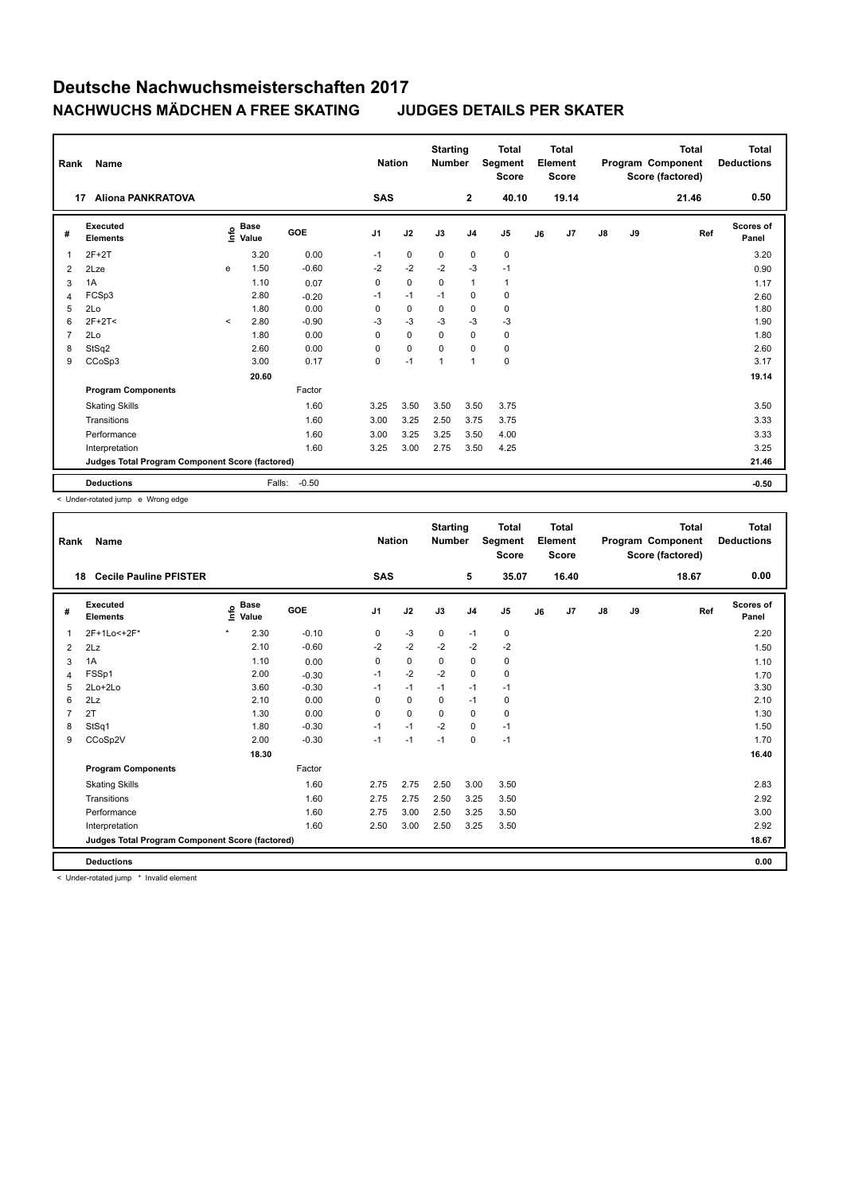| Rank           | <b>Name</b>                                     |         |                      |         | <b>Nation</b>  |             | <b>Starting</b><br><b>Number</b> |                | <b>Total</b><br>Segment<br>Score |    | <b>Total</b><br>Element<br><b>Score</b> |               |    | <b>Total</b><br>Program Component<br>Score (factored) | <b>Total</b><br><b>Deductions</b> |
|----------------|-------------------------------------------------|---------|----------------------|---------|----------------|-------------|----------------------------------|----------------|----------------------------------|----|-----------------------------------------|---------------|----|-------------------------------------------------------|-----------------------------------|
|                | <b>Aliona PANKRATOVA</b><br>17                  |         |                      |         | SAS            |             |                                  | $\mathbf{2}$   | 40.10                            |    | 19.14                                   |               |    | 21.46                                                 | 0.50                              |
| #              | <b>Executed</b><br><b>Elements</b>              | ۴       | <b>Base</b><br>Value | GOE     | J <sub>1</sub> | J2          | J3                               | J <sub>4</sub> | J <sub>5</sub>                   | J6 | J7                                      | $\mathsf{J}8$ | J9 | Ref                                                   | <b>Scores of</b><br>Panel         |
| 1              | $2F+2T$                                         |         | 3.20                 | 0.00    | $-1$           | $\mathbf 0$ | 0                                | 0              | $\mathbf 0$                      |    |                                         |               |    |                                                       | 3.20                              |
| 2              | 2Lze                                            | e       | 1.50                 | $-0.60$ | $-2$           | $-2$        | $-2$                             | $-3$           | $-1$                             |    |                                         |               |    |                                                       | 0.90                              |
| 3              | 1A                                              |         | 1.10                 | 0.07    | 0              | $\mathbf 0$ | $\mathbf 0$                      | $\mathbf{1}$   | $\mathbf{1}$                     |    |                                         |               |    |                                                       | 1.17                              |
| 4              | FCSp3                                           |         | 2.80                 | $-0.20$ | $-1$           | $-1$        | $-1$                             | 0              | 0                                |    |                                         |               |    |                                                       | 2.60                              |
| 5              | 2Lo                                             |         | 1.80                 | 0.00    | 0              | $\mathbf 0$ | $\Omega$                         | 0              | $\mathbf 0$                      |    |                                         |               |    |                                                       | 1.80                              |
| 6              | $2F+2T<$                                        | $\prec$ | 2.80                 | $-0.90$ | $-3$           | $-3$        | $-3$                             | $-3$           | $-3$                             |    |                                         |               |    |                                                       | 1.90                              |
| $\overline{7}$ | 2Lo                                             |         | 1.80                 | 0.00    | 0              | $\mathbf 0$ | $\mathbf 0$                      | $\mathbf 0$    | $\pmb{0}$                        |    |                                         |               |    |                                                       | 1.80                              |
| 8              | StSq2                                           |         | 2.60                 | 0.00    | 0              | $\mathbf 0$ | $\Omega$                         | $\Omega$       | $\mathbf 0$                      |    |                                         |               |    |                                                       | 2.60                              |
| 9              | CCoSp3                                          |         | 3.00                 | 0.17    | 0              | $-1$        | 1                                | $\overline{1}$ | $\pmb{0}$                        |    |                                         |               |    |                                                       | 3.17                              |
|                |                                                 |         | 20.60                |         |                |             |                                  |                |                                  |    |                                         |               |    |                                                       | 19.14                             |
|                | <b>Program Components</b>                       |         |                      | Factor  |                |             |                                  |                |                                  |    |                                         |               |    |                                                       |                                   |
|                | <b>Skating Skills</b>                           |         |                      | 1.60    | 3.25           | 3.50        | 3.50                             | 3.50           | 3.75                             |    |                                         |               |    |                                                       | 3.50                              |
|                | Transitions                                     |         |                      | 1.60    | 3.00           | 3.25        | 2.50                             | 3.75           | 3.75                             |    |                                         |               |    |                                                       | 3.33                              |
|                | Performance                                     |         |                      | 1.60    | 3.00           | 3.25        | 3.25                             | 3.50           | 4.00                             |    |                                         |               |    |                                                       | 3.33                              |
|                | Interpretation                                  |         |                      | 1.60    | 3.25           | 3.00        | 2.75                             | 3.50           | 4.25                             |    |                                         |               |    |                                                       | 3.25                              |
|                | Judges Total Program Component Score (factored) |         |                      |         |                |             |                                  |                |                                  |    |                                         |               |    |                                                       | 21.46                             |
|                | <b>Deductions</b>                               |         | Falls:               | $-0.50$ |                |             |                                  |                |                                  |    |                                         |               |    |                                                       | $-0.50$                           |

< Under-rotated jump e Wrong edge

| Rank           | <b>Name</b>                                     |                              |            | <b>Nation</b>  |             | <b>Starting</b><br><b>Number</b> |                | <b>Total</b><br>Segment<br><b>Score</b> |    | <b>Total</b><br>Element<br><b>Score</b> |               |    | <b>Total</b><br>Program Component<br>Score (factored) | <b>Total</b><br><b>Deductions</b> |
|----------------|-------------------------------------------------|------------------------------|------------|----------------|-------------|----------------------------------|----------------|-----------------------------------------|----|-----------------------------------------|---------------|----|-------------------------------------------------------|-----------------------------------|
| 18             | <b>Cecile Pauline PFISTER</b>                   |                              |            | <b>SAS</b>     |             |                                  | 5              | 35.07                                   |    | 16.40                                   |               |    | 18.67                                                 | 0.00                              |
| #              | Executed<br><b>Elements</b>                     | <b>Base</b><br>١nf٥<br>Value | <b>GOE</b> | J <sub>1</sub> | J2          | J3                               | J <sub>4</sub> | J <sub>5</sub>                          | J6 | J7                                      | $\mathsf{J}8$ | J9 | Ref                                                   | <b>Scores of</b><br>Panel         |
| 1              | 2F+1Lo<+2F*                                     | $\star$<br>2.30              | $-0.10$    | 0              | $-3$        | $\mathbf 0$                      | $-1$           | $\pmb{0}$                               |    |                                         |               |    |                                                       | 2.20                              |
| 2              | 2Lz                                             | 2.10                         | $-0.60$    | $-2$           | $-2$        | $-2$                             | $-2$           | $-2$                                    |    |                                         |               |    |                                                       | 1.50                              |
| 3              | 1A                                              | 1.10                         | 0.00       | 0              | $\mathbf 0$ | $\mathbf 0$                      | $\mathbf 0$    | $\pmb{0}$                               |    |                                         |               |    |                                                       | 1.10                              |
| 4              | FSSp1                                           | 2.00                         | $-0.30$    | $-1$           | $-2$        | $-2$                             | $\mathbf 0$    | 0                                       |    |                                         |               |    |                                                       | 1.70                              |
| 5              | $2Lo+2Lo$                                       | 3.60                         | $-0.30$    | $-1$           | $-1$        | $-1$                             | $-1$           | $-1$                                    |    |                                         |               |    |                                                       | 3.30                              |
| 6              | 2Lz                                             | 2.10                         | 0.00       | 0              | $\mathbf 0$ | 0                                | $-1$           | 0                                       |    |                                         |               |    |                                                       | 2.10                              |
| $\overline{7}$ | 2T                                              | 1.30                         | 0.00       | 0              | $\mathbf 0$ | $\Omega$                         | 0              | 0                                       |    |                                         |               |    |                                                       | 1.30                              |
| 8              | StSq1                                           | 1.80                         | $-0.30$    | $-1$           | $-1$        | $-2$                             | 0              | $-1$                                    |    |                                         |               |    |                                                       | 1.50                              |
| 9              | CCoSp2V                                         | 2.00                         | $-0.30$    | $-1$           | $-1$        | $-1$                             | $\Omega$       | $-1$                                    |    |                                         |               |    |                                                       | 1.70                              |
|                |                                                 | 18.30                        |            |                |             |                                  |                |                                         |    |                                         |               |    |                                                       | 16.40                             |
|                | <b>Program Components</b>                       |                              | Factor     |                |             |                                  |                |                                         |    |                                         |               |    |                                                       |                                   |
|                | <b>Skating Skills</b>                           |                              | 1.60       | 2.75           | 2.75        | 2.50                             | 3.00           | 3.50                                    |    |                                         |               |    |                                                       | 2.83                              |
|                | Transitions                                     |                              | 1.60       | 2.75           | 2.75        | 2.50                             | 3.25           | 3.50                                    |    |                                         |               |    |                                                       | 2.92                              |
|                | Performance                                     |                              | 1.60       | 2.75           | 3.00        | 2.50                             | 3.25           | 3.50                                    |    |                                         |               |    |                                                       | 3.00                              |
|                | Interpretation                                  |                              | 1.60       | 2.50           | 3.00        | 2.50                             | 3.25           | 3.50                                    |    |                                         |               |    |                                                       | 2.92                              |
|                | Judges Total Program Component Score (factored) |                              |            |                |             |                                  |                |                                         |    |                                         |               |    |                                                       | 18.67                             |
|                | <b>Deductions</b>                               |                              |            |                |             |                                  |                |                                         |    |                                         |               |    |                                                       | 0.00                              |

< Under-rotated jump \* Invalid element